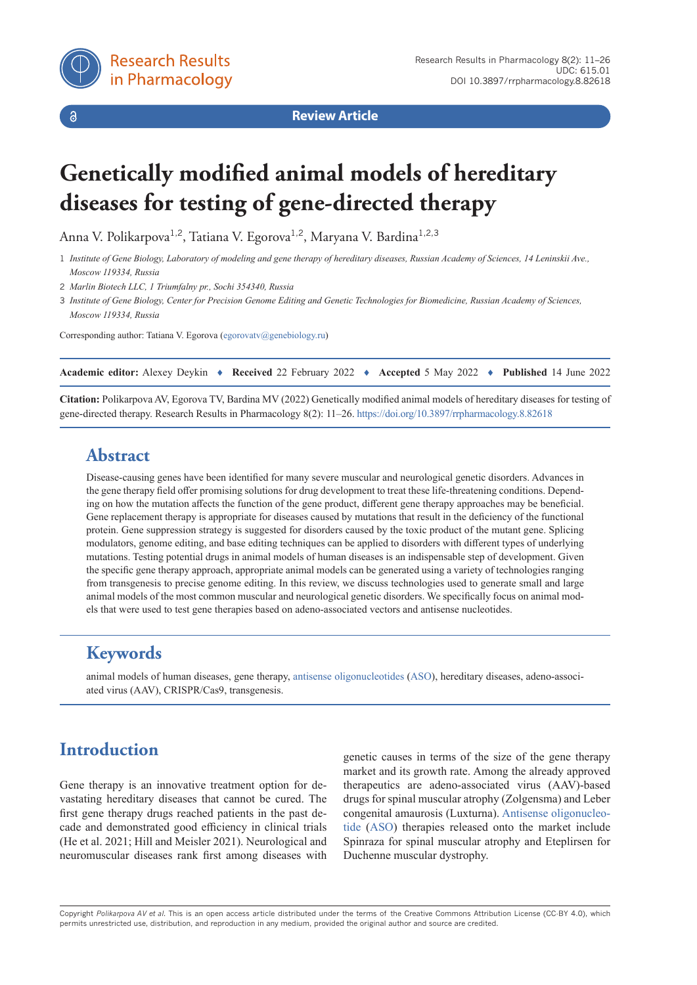

 $\delta$ 

**Review Article**

# **Genetically modified animal models of hereditary diseases for testing of gene-directed therapy**

Anna V. Polikarpova<sup>1,2</sup>, Tatiana V. Egorova<sup>1,2</sup>, Maryana V. Bardina<sup>1,2,3</sup>

1 *Institute of Gene Biology, Laboratory of modeling and gene therapy of hereditary diseases, Russian Academy of Sciences, 14 Leninskii Ave., Moscow 119334, Russia*

2 *Marlin Biotech LLC, 1 Triumfalny pr., Sochi 354340, Russia*

3 *Institute of Gene Biology, Center for Precision Genome Editing and Genetic Technologies for Biomedicine, Russian Academy of Sciences, Moscow 119334, Russia*

Corresponding author: Tatiana V. Egorova ([egorovatv@genebiology.ru\)](mailto:egorovatv%40genebiology.ru?subject=)

| Academic editor: Alexey Deykin • Received 22 February 2022 • Accepted 5 May 2022 • Published 14 June 2022 |  |  |  |  |  |  |
|-----------------------------------------------------------------------------------------------------------|--|--|--|--|--|--|
|-----------------------------------------------------------------------------------------------------------|--|--|--|--|--|--|

**Citation:** Polikarpova AV, Egorova TV, Bardina MV (2022) Genetically modified animal models of hereditary diseases for testing of gene-directed therapy. Research Results in Pharmacology 8(2): 11–26.<https://doi.org/10.3897/rrpharmacology.8.82618>

## **Abstract**

Disease-causing genes have been identified for many severe muscular and neurological genetic disorders. Advances in the gene therapy field offer promising solutions for drug development to treat these life-threatening conditions. Depending on how the mutation affects the function of the gene product, different gene therapy approaches may be beneficial. Gene replacement therapy is appropriate for diseases caused by mutations that result in the deficiency of the functional protein. Gene suppression strategy is suggested for disorders caused by the toxic product of the mutant gene. Splicing modulators, genome editing, and base editing techniques can be applied to disorders with different types of underlying mutations. Testing potential drugs in animal models of human diseases is an indispensable step of development. Given the specific gene therapy approach, appropriate animal models can be generated using a variety of technologies ranging from transgenesis to precise genome editing. In this review, we discuss technologies used to generate small and large animal models of the most common muscular and neurological genetic disorders. We specifically focus on animal models that were used to test gene therapies based on adeno-associated vectors and antisense nucleotides.

# **Keywords**

animal models of human diseases, gene therapy, [antisense oligonucleotides](https://pubchem.ncbi.nlm.nih.gov/patent/EP0605437) ([ASO](https://pubchem.ncbi.nlm.nih.gov/patent/EP0605437)), hereditary diseases, adeno-associated virus (AAV), CRISPR/Cas9, transgenesis.

# **Introduction**

Gene therapy is an innovative treatment option for devastating hereditary diseases that cannot be cured. The first gene therapy drugs reached patients in the past decade and demonstrated good efficiency in clinical trials (He et al. 2021; Hill and Meisler 2021). Neurological and neuromuscular diseases rank first among diseases with genetic causes in terms of the size of the gene therapy market and its growth rate. Among the already approved therapeutics are adeno-associated virus (AAV)-based drugs for spinal muscular atrophy (Zolgensma) and Leber congenital amaurosis (Luxturna). [Antisense oligonucleo](https://pubchem.ncbi.nlm.nih.gov/patent/EP0605437)[tide](https://pubchem.ncbi.nlm.nih.gov/patent/EP0605437) ([ASO](https://pubchem.ncbi.nlm.nih.gov/patent/EP0605437)) therapies released onto the market include Spinraza for spinal muscular atrophy and Eteplirsen for Duchenne muscular dystrophy.

Copyright *Polikarpova AV et al.* This is an open access article distributed under the terms of the Creative Commons Attribution License (CC-BY 4.0), which permits unrestricted use, distribution, and reproduction in any medium, provided the original author and source are credited.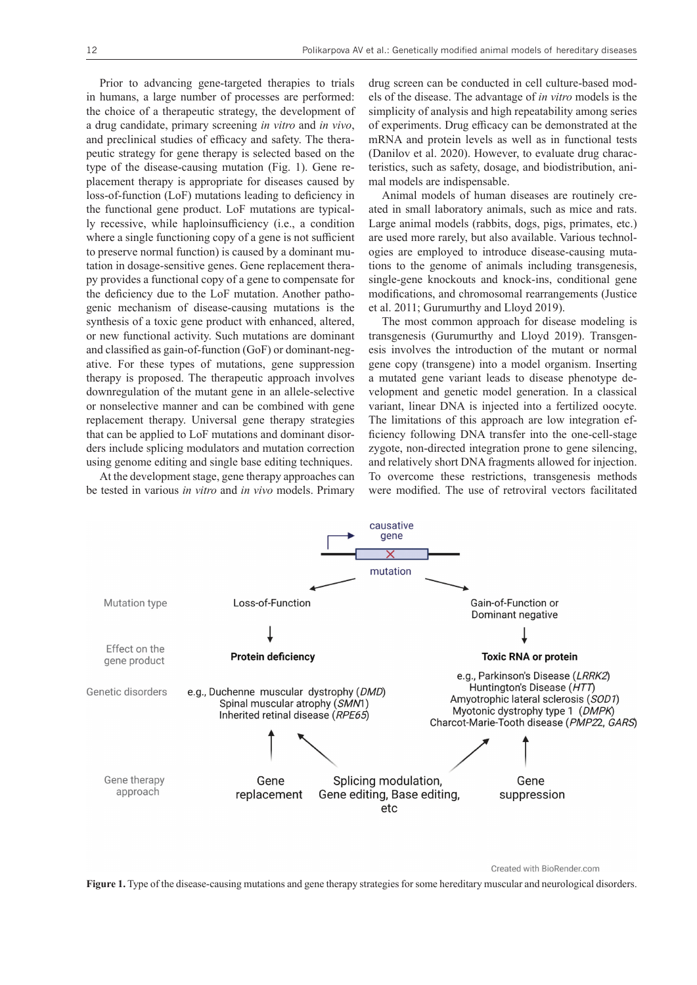Prior to advancing gene-targeted therapies to trials in humans, a large number of processes are performed: the choice of a therapeutic strategy, the development of a drug candidate, primary screening *in vitro* and *in vivo*, and preclinical studies of efficacy and safety. The therapeutic strategy for gene therapy is selected based on the type of the disease-causing mutation (Fig. 1). Gene replacement therapy is appropriate for diseases caused by loss-of-function (LoF) mutations leading to deficiency in the functional gene product. LoF mutations are typically recessive, while haploinsufficiency (i.e., a condition where a single functioning copy of a gene is not sufficient to preserve normal function) is caused by a dominant mutation in dosage-sensitive genes. Gene replacement therapy provides a functional copy of a gene to compensate for the deficiency due to the LoF mutation. Another pathogenic mechanism of disease-causing mutations is the synthesis of a toxic gene product with enhanced, altered, or new functional activity. Such mutations are dominant and classified as gain-of-function (GoF) or dominant-negative. For these types of mutations, gene suppression therapy is proposed. The therapeutic approach involves downregulation of the mutant gene in an allele-selective or nonselective manner and can be combined with gene replacement therapy. Universal gene therapy strategies that can be applied to LoF mutations and dominant disorders include splicing modulators and mutation correction using genome editing and single base editing techniques.

At the development stage, gene therapy approaches can be tested in various *in vitro* and *in vivo* models. Primary drug screen can be conducted in cell culture-based models of the disease. The advantage of *in vitro* models is the simplicity of analysis and high repeatability among series of experiments. Drug efficacy can be demonstrated at the mRNA and protein levels as well as in functional tests (Danilov et al. 2020). However, to evaluate drug characteristics, such as safety, dosage, and biodistribution, animal models are indispensable.

Animal models of human diseases are routinely created in small laboratory animals, such as mice and rats. Large animal models (rabbits, dogs, pigs, primates, etc.) are used more rarely, but also available. Various technologies are employed to introduce disease-causing mutations to the genome of animals including transgenesis, single-gene knockouts and knock-ins, conditional gene modifications, and chromosomal rearrangements (Justice et al. 2011; Gurumurthy and Lloyd 2019).

The most common approach for disease modeling is transgenesis (Gurumurthy and Lloyd 2019). Transgenesis involves the introduction of the mutant or normal gene copy (transgene) into a model organism. Inserting a mutated gene variant leads to disease phenotype development and genetic model generation. In a classical variant, linear DNA is injected into a fertilized oocyte. The limitations of this approach are low integration efficiency following DNA transfer into the one-cell-stage zygote, non-directed integration prone to gene silencing, and relatively short DNA fragments allowed for injection. To overcome these restrictions, transgenesis methods were modified. The use of retroviral vectors facilitated



Created with BioRender.com

**Figure 1.** Type of the disease-causing mutations and gene therapy strategies for some hereditary muscular and neurological disorders.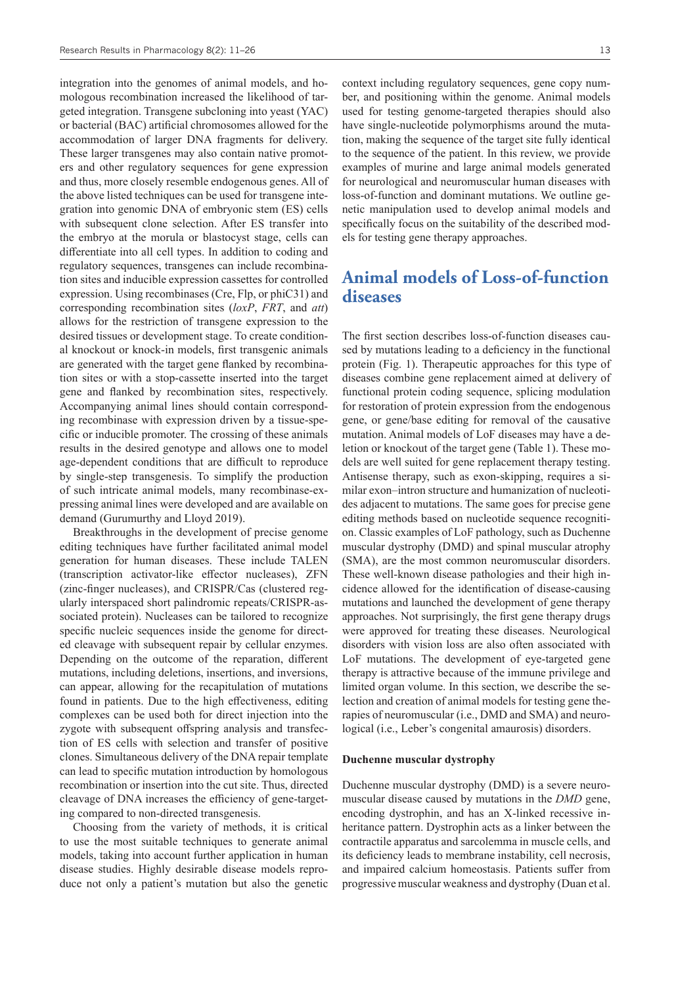integration into the genomes of animal models, and homologous recombination increased the likelihood of targeted integration. Transgene subcloning into yeast (YAC) or bacterial (BAC) artificial chromosomes allowed for the accommodation of larger DNA fragments for delivery. These larger transgenes may also contain native promoters and other regulatory sequences for gene expression and thus, more closely resemble endogenous genes. All of the above listed techniques can be used for transgene integration into genomic DNA of embryonic stem (ES) cells with subsequent clone selection. After ES transfer into the embryo at the morula or blastocyst stage, cells can differentiate into all cell types. In addition to coding and regulatory sequences, transgenes can include recombination sites and inducible expression cassettes for controlled expression. Using recombinases (Cre, Flp, or phiC31) and corresponding recombination sites (*loxP*, *FRT*, and *att*) allows for the restriction of transgene expression to the desired tissues or development stage. To create conditional knockout or knock-in models, first transgenic animals are generated with the target gene flanked by recombination sites or with a stop-cassette inserted into the target gene and flanked by recombination sites, respectively. Accompanying animal lines should contain corresponding recombinase with expression driven by a tissue-specific or inducible promoter. The crossing of these animals results in the desired genotype and allows one to model age-dependent conditions that are difficult to reproduce by single-step transgenesis. To simplify the production of such intricate animal models, many recombinase-expressing animal lines were developed and are available on demand (Gurumurthy and Lloyd 2019).

Breakthroughs in the development of precise genome editing techniques have further facilitated animal model generation for human diseases. These include TALEN (transcription activator-like effector nucleases), ZFN (zinc-finger nucleases), and CRISPR/Cas (clustered regularly interspaced short palindromic repeats/CRISPR-associated protein). Nucleases can be tailored to recognize specific nucleic sequences inside the genome for directed cleavage with subsequent repair by cellular enzymes. Depending on the outcome of the reparation, different mutations, including deletions, insertions, and inversions, can appear, allowing for the recapitulation of mutations found in patients. Due to the high effectiveness, editing complexes can be used both for direct injection into the zygote with subsequent offspring analysis and transfection of ES cells with selection and transfer of positive clones. Simultaneous delivery of the DNA repair template can lead to specific mutation introduction by homologous recombination or insertion into the cut site. Thus, directed cleavage of DNA increases the efficiency of gene-targeting compared to non-directed transgenesis.

Choosing from the variety of methods, it is critical to use the most suitable techniques to generate animal models, taking into account further application in human disease studies. Highly desirable disease models reproduce not only a patient's mutation but also the genetic

context including regulatory sequences, gene copy number, and positioning within the genome. Animal models used for testing genome-targeted therapies should also have single-nucleotide polymorphisms around the mutation, making the sequence of the target site fully identical to the sequence of the patient. In this review, we provide examples of murine and large animal models generated for neurological and neuromuscular human diseases with loss-of-function and dominant mutations. We outline genetic manipulation used to develop animal models and specifically focus on the suitability of the described models for testing gene therapy approaches.

## **Animal models of Loss-of-function diseases**

The first section describes loss-of-function diseases caused by mutations leading to a deficiency in the functional protein (Fig. 1). Therapeutic approaches for this type of diseases combine gene replacement aimed at delivery of functional protein coding sequence, splicing modulation for restoration of protein expression from the endogenous gene, or gene/base editing for removal of the causative mutation. Animal models of LoF diseases may have a deletion or knockout of the target gene (Table 1). These models are well suited for gene replacement therapy testing. Antisense therapy, such as exon-skipping, requires a similar exon–intron structure and humanization of nucleotides adjacent to mutations. The same goes for precise gene editing methods based on nucleotide sequence recognition. Classic examples of LoF pathology, such as Duchenne muscular dystrophy (DMD) and spinal muscular atrophy (SMA), are the most common neuromuscular disorders. These well-known disease pathologies and their high incidence allowed for the identification of disease-causing mutations and launched the development of gene therapy approaches. Not surprisingly, the first gene therapy drugs were approved for treating these diseases. Neurological disorders with vision loss are also often associated with LoF mutations. The development of eye-targeted gene therapy is attractive because of the immune privilege and limited organ volume. In this section, we describe the selection and creation of animal models for testing gene therapies of neuromuscular (i.e., DMD and SMA) and neurological (i.e., Leber's congenital amaurosis) disorders.

### **Duchenne muscular dystrophy**

Duchenne muscular dystrophy (DMD) is a severe neuromuscular disease caused by mutations in the *DMD* gene, encoding dystrophin, and has an X-linked recessive inheritance pattern. Dystrophin acts as a linker between the contractile apparatus and sarcolemma in muscle cells, and its deficiency leads to membrane instability, cell necrosis, and impaired calcium homeostasis. Patients suffer from progressive muscular weakness and dystrophy (Duan et al.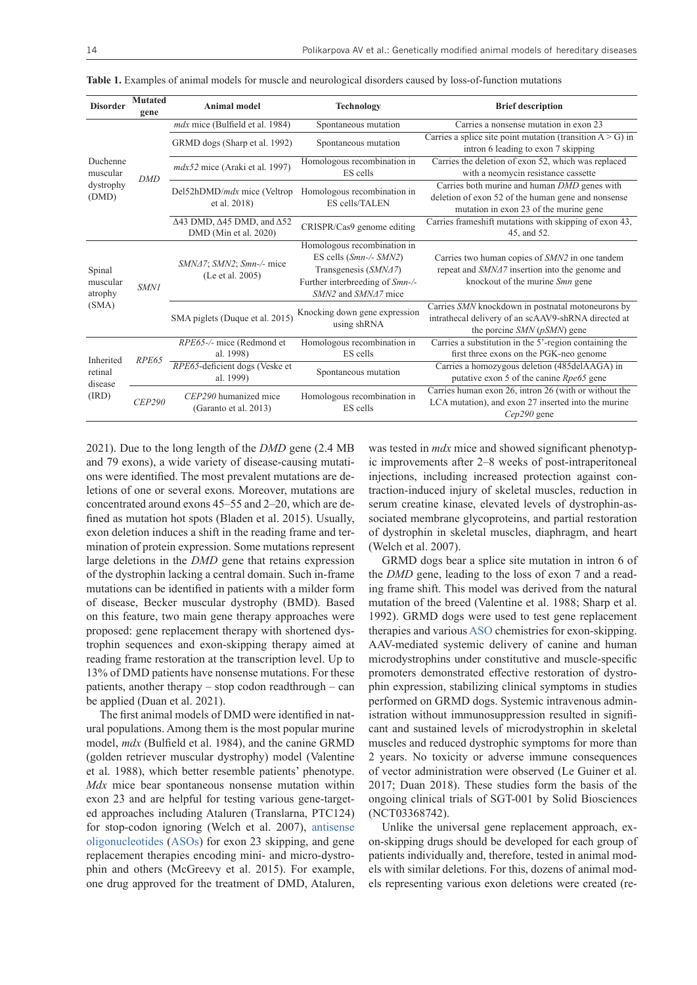| <b>Disorder</b>                                   | <b>Mutated</b><br>gene | Animal model                                                               | <b>Technology</b>                                                                                                                         | <b>Brief description</b>                                                                                                                      |  |  |
|---------------------------------------------------|------------------------|----------------------------------------------------------------------------|-------------------------------------------------------------------------------------------------------------------------------------------|-----------------------------------------------------------------------------------------------------------------------------------------------|--|--|
| Duchenne<br>muscular<br>dystrophy<br>(DMD)        |                        | mdx mice (Bulfield et al. 1984)                                            | Spontaneous mutation                                                                                                                      | Carries a nonsense mutation in exon 23                                                                                                        |  |  |
|                                                   |                        | GRMD dogs (Sharp et al. 1992)                                              | Spontaneous mutation                                                                                                                      | Carries a splice site point mutation (transition $A > G$ ) in<br>intron 6 leading to exon 7 skipping                                          |  |  |
|                                                   | <b>DMD</b>             | $mdx52$ mice (Araki et al. 1997)                                           | Homologous recombination in<br>ES cells                                                                                                   | Carries the deletion of exon 52, which was replaced<br>with a neomycin resistance cassette                                                    |  |  |
|                                                   |                        | Del52hDMD/mdx mice (Veltrop<br>et al. 2018)                                | Homologous recombination in<br>ES cells/TALEN                                                                                             | Carries both murine and human DMD genes with<br>deletion of exon 52 of the human gene and nonsense<br>mutation in exon 23 of the murine gene  |  |  |
|                                                   |                        | $\Delta$ 43 DMD, $\Delta$ 45 DMD, and $\Delta$ 52<br>DMD (Min et al. 2020) | CRISPR/Cas9 genome editing                                                                                                                | Carries frameshift mutations with skipping of exon 43,<br>45, and 52.                                                                         |  |  |
| Spinal<br>muscular<br>atrophy<br>(SMA)            | <b>SMN1</b>            | $SMN47$ ; $SMN2$ ; $Smn$ -/- mice<br>(Le et al. 2005)                      | Homologous recombination in<br>ES cells $(Smn-/- SMN2)$<br>Transgenesis (SMN47)<br>Further interbreeding of Smn-/-<br>SMN2 and SMNA7 mice | Carries two human copies of SMN2 in one tandem<br>repeat and SMNA7 insertion into the genome and<br>knockout of the murine <i>Smn</i> gene    |  |  |
|                                                   |                        | SMA piglets (Duque et al. 2015)                                            | Knocking down gene expression<br>using shRNA                                                                                              | Carries SMN knockdown in postnatal motoneurons by<br>intrathecal delivery of an scAAV9-shRNA directed at<br>the porcine $SMN$ ( $pSMN$ ) gene |  |  |
| Inherited<br>RPE65<br>retinal<br>disease<br>(IRD) |                        | RPE65-/- mice (Redmond et<br>al. 1998)                                     | Homologous recombination in<br>ES cells                                                                                                   | Carries a substitution in the 5'-region containing the<br>first three exons on the PGK-neo genome                                             |  |  |
|                                                   |                        | RPE65-deficient dogs (Veske et<br>al. 1999)                                | Spontaneous mutation                                                                                                                      | Carries a homozygous deletion (485delAAGA) in<br>putative exon 5 of the canine Rpe65 gene                                                     |  |  |
|                                                   | CEP290                 | CEP290 humanized mice<br>(Garanto et al. 2013)                             | Homologous recombination in<br>ES cells                                                                                                   | Carries human exon 26, intron 26 (with or without the<br>LCA mutation), and exon 27 inserted into the murine<br>$Cep290$ gene                 |  |  |

**Table 1.** Examples of animal models for muscle and neurological disorders caused by loss-of-function mutations

2021). Due to the long length of the *DMD* gene (2.4 MB and 79 exons), a wide variety of disease-causing mutations were identified. The most prevalent mutations are deletions of one or several exons. Moreover, mutations are concentrated around exons 45–55 and 2–20, which are defined as mutation hot spots (Bladen et al. 2015). Usually, exon deletion induces a shift in the reading frame and termination of protein expression. Some mutations represent large deletions in the *DMD* gene that retains expression of the dystrophin lacking a central domain. Such in-frame mutations can be identified in patients with a milder form of disease, Becker muscular dystrophy (BMD). Based on this feature, two main gene therapy approaches were proposed: gene replacement therapy with shortened dystrophin sequences and exon-skipping therapy aimed at reading frame restoration at the transcription level. Up to 13% of DMD patients have nonsense mutations. For these patients, another therapy – stop codon readthrough – can be applied (Duan et al. 2021).

The first animal models of DMD were identified in natural populations. Among them is the most popular murine model, *mdx* (Bulfield et al. 1984), and the canine GRMD (golden retriever muscular dystrophy) model (Valentine et al. 1988), which better resemble patients' phenotype. *Mdx* mice bear spontaneous nonsense mutation within exon 23 and are helpful for testing various gene-targeted approaches including Ataluren (Translarna, PTC124) for stop-codon ignoring (Welch et al. 2007), [antisense](https://pubchem.ncbi.nlm.nih.gov/patent/EP0605437)  [oligonucleotides](https://pubchem.ncbi.nlm.nih.gov/patent/EP0605437) ([ASOs](https://pubchem.ncbi.nlm.nih.gov/patent/EP0605437)) for exon 23 skipping, and gene replacement therapies encoding mini- and micro-dystrophin and others (McGreevy et al. 2015). For example, one drug approved for the treatment of DMD, Ataluren,

was tested in *mdx* mice and showed significant phenotypic improvements after 2–8 weeks of post-intraperitoneal injections, including increased protection against contraction-induced injury of skeletal muscles, reduction in serum creatine kinase, elevated levels of dystrophin-associated membrane glycoproteins, and partial restoration of dystrophin in skeletal muscles, diaphragm, and heart (Welch et al. 2007).

GRMD dogs bear a splice site mutation in intron 6 of the *DMD* gene, leading to the loss of exon 7 and a reading frame shift. This model was derived from the natural mutation of the breed (Valentine et al. 1988; Sharp et al. 1992). GRMD dogs were used to test gene replacement therapies and various [ASO](https://pubchem.ncbi.nlm.nih.gov/patent/EP0605437) chemistries for exon-skipping. AAV-mediated systemic delivery of canine and human microdystrophins under constitutive and muscle-specific promoters demonstrated effective restoration of dystrophin expression, stabilizing clinical symptoms in studies performed on GRMD dogs. Systemic intravenous administration without immunosuppression resulted in significant and sustained levels of microdystrophin in skeletal muscles and reduced dystrophic symptoms for more than 2 years. No toxicity or adverse immune consequences of vector administration were observed (Le Guiner et al. 2017; Duan 2018). These studies form the basis of the ongoing clinical trials of SGT-001 by Solid Biosciences (NCT03368742).

Unlike the universal gene replacement approach, exon-skipping drugs should be developed for each group of patients individually and, therefore, tested in animal models with similar deletions. For this, dozens of animal models representing various exon deletions were created (re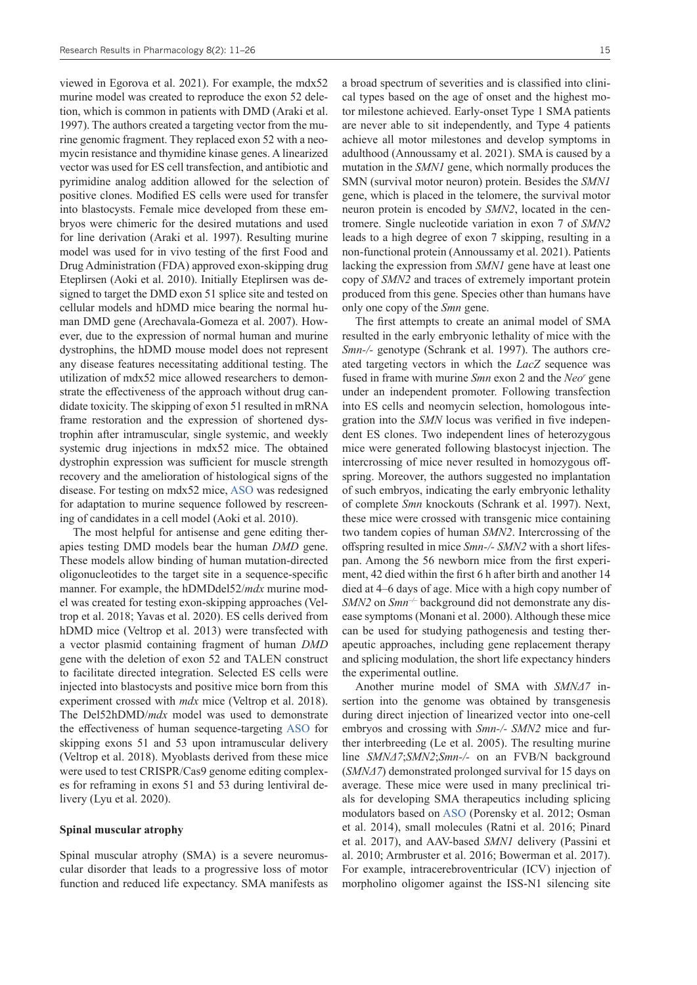viewed in Egorova et al. 2021). For example, the mdx52 murine model was created to reproduce the exon 52 deletion, which is common in patients with DMD (Araki et al. 1997). The authors created a targeting vector from the murine genomic fragment. They replaced exon 52 with a neomycin resistance and thymidine kinase genes. A linearized vector was used for ES cell transfection, and antibiotic and pyrimidine analog addition allowed for the selection of positive clones. Modified ES cells were used for transfer into blastocysts. Female mice developed from these embryos were chimeric for the desired mutations and used for line derivation (Araki et al. 1997). Resulting murine model was used for in vivo testing of the first Food and Drug Administration (FDA) approved exon-skipping drug Eteplirsen (Aoki et al. 2010). Initially Eteplirsen was designed to target the DMD exon 51 splice site and tested on cellular models and hDMD mice bearing the normal human DMD gene (Arechavala-Gomeza et al. 2007). However, due to the expression of normal human and murine dystrophins, the hDMD mouse model does not represent any disease features necessitating additional testing. The utilization of mdx52 mice allowed researchers to demonstrate the effectiveness of the approach without drug candidate toxicity. The skipping of exon 51 resulted in mRNA frame restoration and the expression of shortened dystrophin after intramuscular, single systemic, and weekly systemic drug injections in mdx52 mice. The obtained dystrophin expression was sufficient for muscle strength recovery and the amelioration of histological signs of the disease. For testing on mdx52 mice, [ASO](https://pubchem.ncbi.nlm.nih.gov/patent/EP0605437) was redesigned for adaptation to murine sequence followed by rescreening of candidates in a cell model (Aoki et al. 2010).

The most helpful for antisense and gene editing therapies testing DMD models bear the human *DMD* gene. These models allow binding of human mutation-directed oligonucleotides to the target site in a sequence-specific manner. For example, the hDMDdel52/*mdx* murine model was created for testing exon-skipping approaches (Veltrop et al. 2018; Yavas et al. 2020). ES cells derived from hDMD mice (Veltrop et al. 2013) were transfected with a vector plasmid containing fragment of human *DMD* gene with the deletion of exon 52 and TALEN construct to facilitate directed integration. Selected ES cells were injected into blastocysts and positive mice born from this experiment crossed with *mdx* mice (Veltrop et al. 2018). The Del52hDMD/*mdx* model was used to demonstrate the effectiveness of human sequence-targeting [ASO](https://pubchem.ncbi.nlm.nih.gov/patent/EP0605437) for skipping exons 51 and 53 upon intramuscular delivery (Veltrop et al. 2018). Myoblasts derived from these mice were used to test CRISPR/Cas9 genome editing complexes for reframing in exons 51 and 53 during lentiviral delivery (Lyu et al. 2020).

#### **Spinal muscular atrophy**

Spinal muscular atrophy (SMA) is a severe neuromuscular disorder that leads to a progressive loss of motor function and reduced life expectancy. SMA manifests as a broad spectrum of severities and is classified into clinical types based on the age of onset and the highest motor milestone achieved. Early-onset Type 1 SMA patients are never able to sit independently, and Type 4 patients achieve all motor milestones and develop symptoms in adulthood (Annoussamy et al. 2021). SMA is caused by a mutation in the *SMN1* gene, which normally produces the SMN (survival motor neuron) protein. Besides the *SMN1* gene, which is placed in the telomere, the survival motor neuron protein is encoded by *SMN2*, located in the centromere. Single nucleotide variation in exon 7 of *SMN2* leads to a high degree of exon 7 skipping, resulting in a non-functional protein (Annoussamy et al. 2021). Patients lacking the expression from *SMN1* gene have at least one copy of *SMN2* and traces of extremely important protein produced from this gene. Species other than humans have only one copy of the *Smn* gene.

The first attempts to create an animal model of SMA resulted in the early embryonic lethality of mice with the *Smn-/-* genotype (Schrank et al. 1997). The authors created targeting vectors in which the *LacZ* sequence was fused in frame with murine *Smn* exon 2 and the *Neor* gene under an independent promoter. Following transfection into ES cells and neomycin selection, homologous integration into the *SMN* locus was verified in five independent ES clones. Two independent lines of heterozygous mice were generated following blastocyst injection. The intercrossing of mice never resulted in homozygous offspring. Moreover, the authors suggested no implantation of such embryos, indicating the early embryonic lethality of complete *Smn* knockouts (Schrank et al. 1997). Next, these mice were crossed with transgenic mice containing two tandem copies of human *SMN2*. Intercrossing of the offspring resulted in mice *Smn-/- SMN2* with a short lifespan. Among the 56 newborn mice from the first experiment, 42 died within the first 6 h after birth and another 14 died at 4–6 days of age. Mice with a high copy number of *SMN2* on *Smn<sup>-/</sup>*-background did not demonstrate any disease symptoms (Monani et al. 2000). Although these mice can be used for studying pathogenesis and testing therapeutic approaches, including gene replacement therapy and splicing modulation, the short life expectancy hinders the experimental outline.

Another murine model of SMA with *SMNΔ7* insertion into the genome was obtained by transgenesis during direct injection of linearized vector into one-cell embryos and crossing with *Smn-/- SMN2* mice and further interbreeding (Le et al. 2005). The resulting murine line *SMNΔ7*;*SMN2*;*Smn-/-* on an FVB/N background (*SMNΔ7*) demonstrated prolonged survival for 15 days on average. These mice were used in many preclinical trials for developing SMA therapeutics including splicing modulators based on [ASO](https://pubchem.ncbi.nlm.nih.gov/patent/EP0605437) (Porensky et al. 2012; Osman et al. 2014), small molecules (Ratni et al. 2016; Pinard et al. 2017), and AAV-based *SMN1* delivery (Passini et al. 2010; Armbruster et al. 2016; Bowerman et al. 2017). For example, intracerebroventricular (ICV) injection of morpholino oligomer against the ISS-N1 silencing site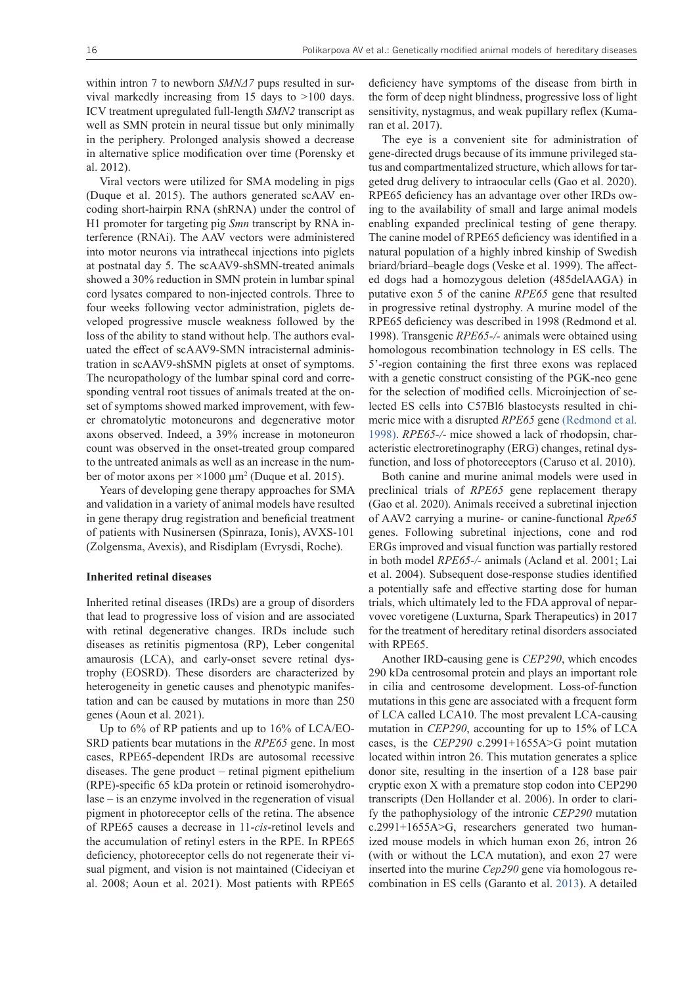within intron 7 to newborn *SMNA7* pups resulted in survival markedly increasing from 15 days to >100 days. ICV treatment upregulated full-length *SMN2* transcript as well as SMN protein in neural tissue but only minimally in the periphery. Prolonged analysis showed a decrease in alternative splice modification over time (Porensky et al. 2012).

Viral vectors were utilized for SMA modeling in pigs (Duque et al. 2015). The authors generated scAAV encoding short-hairpin RNA (shRNA) under the control of H1 promoter for targeting pig *Smn* transcript by RNA interference (RNAi). The AAV vectors were administered into motor neurons via intrathecal injections into piglets at postnatal day 5. The scAAV9-shSMN-treated animals showed a 30% reduction in SMN protein in lumbar spinal cord lysates compared to non-injected controls. Three to four weeks following vector administration, piglets developed progressive muscle weakness followed by the loss of the ability to stand without help. The authors evaluated the effect of scAAV9-SMN intracisternal administration in scAAV9-shSMN piglets at onset of symptoms. The neuropathology of the lumbar spinal cord and corresponding ventral root tissues of animals treated at the onset of symptoms showed marked improvement, with fewer chromatolytic motoneurons and degenerative motor axons observed. Indeed, a 39% increase in motoneuron count was observed in the onset-treated group compared to the untreated animals as well as an increase in the number of motor axons per ×1000 μm<sup>2</sup> (Duque et al. 2015).

Years of developing gene therapy approaches for SMA and validation in a variety of animal models have resulted in gene therapy drug registration and beneficial treatment of patients with Nusinersen (Spinraza, Ionis), AVXS-101 (Zolgensma, Avexis), and Risdiplam (Evrysdi, Roche).

#### **Inherited retinal diseases**

Inherited retinal diseases (IRDs) are a group of disorders that lead to progressive loss of vision and are associated with retinal degenerative changes. IRDs include such diseases as retinitis pigmentosa (RP), Leber congenital amaurosis (LCA), and early-onset severe retinal dystrophy (EOSRD). These disorders are characterized by heterogeneity in genetic causes and phenotypic manifestation and can be caused by mutations in more than 250 genes (Aoun et al. 2021).

Up to 6% of RP patients and up to 16% of LCA/EO-SRD patients bear mutations in the *RPE65* gene. In most cases, RPE65-dependent IRDs are autosomal recessive diseases. The gene product – retinal pigment epithelium (RPE)-specific 65 kDa protein or retinoid isomerohydrolase – is an enzyme involved in the regeneration of visual pigment in photoreceptor cells of the retina. The absence of RPE65 causes a decrease in 11-*cis*-retinol levels and the accumulation of retinyl esters in the RPE. In RPE65 deficiency, photoreceptor cells do not regenerate their visual pigment, and vision is not maintained (Cideciyan et al. 2008; Aoun et al. 2021). Most patients with RPE65 deficiency have symptoms of the disease from birth in the form of deep night blindness, progressive loss of light sensitivity, nystagmus, and weak pupillary reflex (Kumaran et al. 2017).

The eye is a convenient site for administration of gene-directed drugs because of its immune privileged status and compartmentalized structure, which allows for targeted drug delivery to intraocular cells (Gao et al. 2020). RPE65 deficiency has an advantage over other IRDs owing to the availability of small and large animal models enabling expanded preclinical testing of gene therapy. The canine model of RPE65 deficiency was identified in a natural population of a highly inbred kinship of Swedish briard/briard–beagle dogs (Veske et al. 1999). The affected dogs had a homozygous deletion (485delAAGA) in putative exon 5 of the canine *RPE65* gene that resulted in progressive retinal dystrophy. A murine model of the RPE65 deficiency was described in 1998 (Redmond et al. 1998). Transgenic *RPE65-/-* animals were obtained using homologous recombination technology in ES cells. The 5'-region containing the first three exons was replaced with a genetic construct consisting of the PGK-neo gene for the selection of modified cells. Microinjection of selected ES cells into C57Bl6 blastocysts resulted in chimeric mice with a disrupted *RPE65* gene [\(Redmond et al.](https://www.zotero.org/google-docs/?NJuMXg) [1998\)](https://www.zotero.org/google-docs/?NJuMXg). *RPE65-/-* mice showed a lack of rhodopsin, characteristic electroretinography (ERG) changes, retinal dysfunction, and loss of photoreceptors (Caruso et al. 2010).

Both canine and murine animal models were used in preclinical trials of *RPE65* gene replacement therapy (Gao et al. 2020). Animals received a subretinal injection of AAV2 carrying a murine- or canine-functional *Rpe65* genes. Following subretinal injections, cone and rod ERGs improved and visual function was partially restored in both model *RPE65-/-* animals (Acland et al. 2001; Lai et al. 2004). Subsequent dose-response studies identified a potentially safe and effective starting dose for human trials, which ultimately led to the FDA approval of neparvovec voretigene (Luxturna, Spark Therapeutics) in 2017 for the treatment of hereditary retinal disorders associated with RPE65.

Another IRD-causing gene is *CEP290*, which encodes 290 kDa centrosomal protein and plays an important role in cilia and centrosome development. Loss-of-function mutations in this gene are associated with a frequent form of LCA called LCA10. The most prevalent LCA-causing mutation in *CEP290*, accounting for up to 15% of LCA cases, is the *CEP290* c.2991+1655A>G point mutation located within intron 26. This mutation generates a splice donor site, resulting in the insertion of a 128 base pair cryptic exon X with a premature stop codon into CEP290 transcripts (Den Hollander et al. 2006). In order to clarify the pathophysiology of the intronic *CEP290* mutation c.2991+1655A>G, researchers generated two humanized mouse models in which human exon 26, intron 26 (with or without the LCA mutation), and exon 27 were inserted into the murine *Cep290* gene via homologous recombination in ES cells (Garanto et al. [2013\)](https://www.ncbi.nlm.nih.gov/pmc/articles/PMC3819269/). A detailed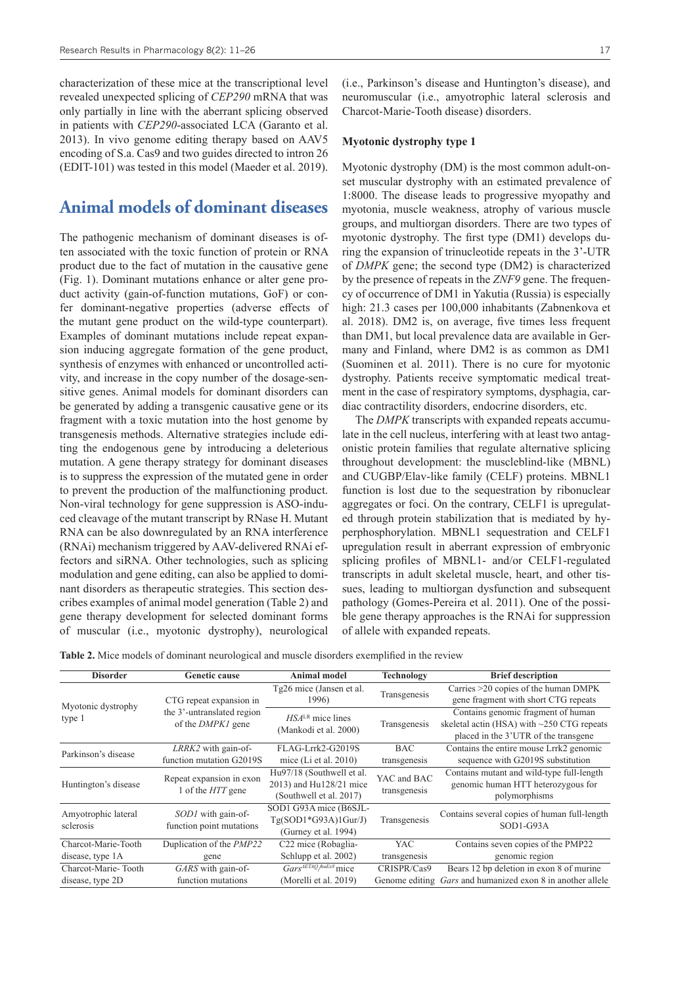characterization of these mice at the transcriptional level revealed unexpected splicing of *CEP290* mRNA that was only partially in line with the aberrant splicing observed in patients with *CEP290*-associated LCA (Garanto et al. 2013). In vivo genome editing therapy based on AAV5 encoding of S.a. Cas9 and two guides directed to intron 26 (EDIT-101) was tested in this model (Maeder et al. 2019).

## **Animal models of dominant diseases**

The pathogenic mechanism of dominant diseases is often associated with the toxic function of protein or RNA product due to the fact of mutation in the causative gene (Fig. 1). Dominant mutations enhance or alter gene product activity (gain-of-function mutations, GoF) or confer dominant-negative properties (adverse effects of the mutant gene product on the wild-type counterpart). Examples of dominant mutations include repeat expansion inducing aggregate formation of the gene product, synthesis of enzymes with enhanced or uncontrolled activity, and increase in the copy number of the dosage-sensitive genes. Animal models for dominant disorders can be generated by adding a transgenic causative gene or its fragment with a toxic mutation into the host genome by transgenesis methods. Alternative strategies include editing the endogenous gene by introducing a deleterious mutation. A gene therapy strategy for dominant diseases is to suppress the expression of the mutated gene in order to prevent the production of the malfunctioning product. Non-viral technology for gene suppression is ASO-induced cleavage of the mutant transcript by RNase H. Mutant RNA can be also downregulated by an RNA interference (RNAi) mechanism triggered by AAV-delivered RNAi effectors and siRNA. Other technologies, such as splicing modulation and gene editing, can also be applied to dominant disorders as therapeutic strategies. This section describes examples of animal model generation (Table 2) and gene therapy development for selected dominant forms of muscular (i.e., myotonic dystrophy), neurological

(i.e., Parkinson's disease and Huntington's disease), and neuromuscular (i.e., amyotrophic lateral sclerosis and Charcot-Marie-Tooth disease) disorders.

### **Myotonic dystrophy type 1**

Myotonic dystrophy (DM) is the most common adult-onset muscular dystrophy with an estimated prevalence of 1:8000. The disease leads to progressive myopathy and myotonia, muscle weakness, atrophy of various muscle groups, and multiorgan disorders. There are two types of myotonic dystrophy. The first type (DM1) develops during the expansion of trinucleotide repeats in the 3'-UTR of *DMPK* gene; the second type (DM2) is characterized by the presence of repeats in the *ZNF9* gene. The frequency of occurrence of DM1 in Yakutia (Russia) is especially high: 21.3 cases per 100,000 inhabitants (Zabnenkova et al. 2018). DM2 is, on average, five times less frequent than DM1, but local prevalence data are available in Germany and Finland, where DM2 is as common as DM1 (Suominen et al. 2011). There is no cure for myotonic dystrophy. Patients receive symptomatic medical treatment in the case of respiratory symptoms, dysphagia, cardiac contractility disorders, endocrine disorders, etc.

The *DMPK* transcripts with expanded repeats accumulate in the cell nucleus, interfering with at least two antagonistic protein families that regulate alternative splicing throughout development: the muscleblind-like (MBNL) and CUGBP/Elav-like family (CELF) proteins. MBNL1 function is lost due to the sequestration by ribonuclear aggregates or foci. Оn the contrary, CELF1 is upregulated through protein stabilization that is mediated by hyperphosphorylation. MBNL1 sequestration and CELF1 upregulation result in aberrant expression of embryonic splicing profiles of MBNL1- and/or CELF1-regulated transcripts in adult skeletal muscle, heart, and other tissues, leading to multiorgan dysfunction and subsequent pathology (Gomes-Pereira et al. 2011). One of the possible gene therapy approaches is the RNAi for suppression of allele with expanded repeats.

**Table 2.** Mice models of dominant neurological and muscle disorders exemplified in the review

| <b>Disorder</b>                  | <b>Genetic cause</b>            | <b>Animal model</b>                         | Technology     | <b>Brief description</b>                         |  |
|----------------------------------|---------------------------------|---------------------------------------------|----------------|--------------------------------------------------|--|
|                                  |                                 | Tg26 mice (Jansen et al.                    |                | Carries >20 copies of the human DMPK             |  |
| Myotonic dystrophy<br>type 1     | CTG repeat expansion in         | 1996)                                       | Transgenesis   | gene fragment with short CTG repeats             |  |
|                                  | the 3'-untranslated region      | $HSALR$ mice lines<br>(Mankodi et al. 2000) | Transgenesis   | Contains genomic fragment of human               |  |
|                                  | of the <i>DMPK1</i> gene        |                                             |                | skeletal actin (HSA) with $\sim$ 250 CTG repeats |  |
|                                  |                                 |                                             |                | placed in the 3'UTR of the transgene             |  |
| Parkinson's disease              | $LRRK2$ with gain-of-           | FLAG-Lrrk2-G2019S                           | <b>BAC</b>     | Contains the entire mouse Lrrk2 genomic          |  |
|                                  | function mutation G2019S        | mice (Li et al. $2010$ )                    | transgenesis   | sequence with G2019S substitution                |  |
| Huntington's disease             | Repeat expansion in exon        | Hu97/18 (Southwell et al.                   | YAC and BAC    | Contains mutant and wild-type full-length        |  |
|                                  | 1 of the <i>HTT</i> gene        | 2013) and Hu128/21 mice                     | transgenesis   | genomic human HTT heterozygous for               |  |
|                                  |                                 | (Southwell et al. 2017)                     |                | polymorphisms                                    |  |
| Amyotrophic lateral<br>sclerosis | SOD1 with gain-of-              | SOD1 G93A mice (B6SJL-                      |                | Contains several copies of human full-length     |  |
|                                  | function point mutations        | $Tg(SOD1*G93A)1GurJ)$                       | Transgenesis   | $SOD1-G93A$                                      |  |
|                                  |                                 | (Gurney et al. 1994)                        |                |                                                  |  |
| Charcot-Marie-Tooth              | Duplication of the <i>PMP22</i> | C22 mice (Robaglia-                         | <b>YAC</b>     | Contains seven copies of the PMP22               |  |
| disease, type 1A                 | gene                            | Schlupp et al. 2002)                        | transgenesis   | genomic region                                   |  |
| Charcot-Marie-Tooth              | GARS with gain-of-              | Gars <sup>AETAQ</sup> /huEx8 mice           | CRISPR/Cas9    | Bears 12 bp deletion in exon 8 of murine         |  |
| disease, type 2D                 | function mutations              | (Morelli et al. 2019)                       | Genome editing | Gars and humanized exon 8 in another allele      |  |
|                                  |                                 |                                             |                |                                                  |  |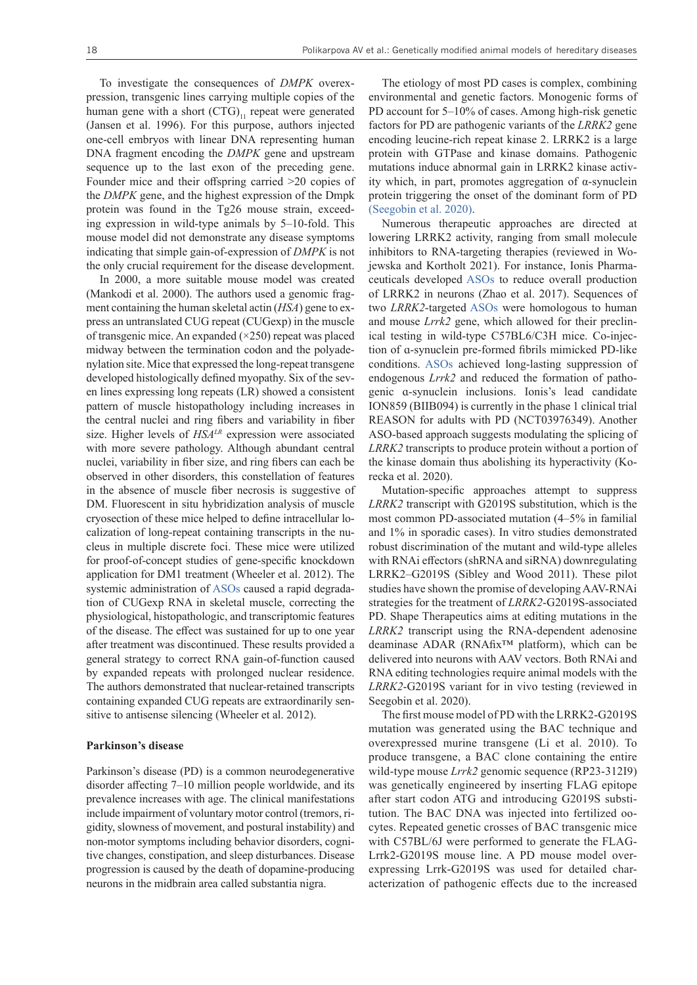To investigate the consequences of *DMPK* overexpression, transgenic lines carrying multiple copies of the human gene with a short  $(CTG)_{11}$  repeat were generated (Jansen et al. 1996). For this purpose, authors injected one-cell embryos with linear DNA representing human DNA fragment encoding the *DMPK* gene and upstream sequence up to the last exon of the preceding gene. Founder mice and their offspring carried >20 copies of the *DMPK* gene, and the highest expression of the Dmpk protein was found in the Tg26 mouse strain, exceeding expression in wild-type animals by 5–10-fold. This mouse model did not demonstrate any disease symptoms indicating that simple gain-of-expression of *DMPK* is not the only crucial requirement for the disease development.

In 2000, a more suitable mouse model was created (Mankodi et al. 2000). The authors used a genomic fragment containing the human skeletal actin (*HSA*) gene to express an untranslated CUG repeat (CUGexp) in the muscle of transgenic mice. An expanded (×250) repeat was placed midway between the termination codon and the polyadenylation site. Mice that expressed the long-repeat transgene developed histologically defined myopathy. Six of the seven lines expressing long repeats (LR) showed a consistent pattern of muscle histopathology including increases in the central nuclei and ring fibers and variability in fiber size. Higher levels of *HSALR* expression were associated with more severe pathology. Although abundant central nuclei, variability in fiber size, and ring fibers can each be observed in other disorders, this constellation of features in the absence of muscle fiber necrosis is suggestive of DM. Fluorescent in situ hybridization analysis of muscle cryosection of these mice helped to define intracellular localization of long-repeat containing transcripts in the nucleus in multiple discrete foci. These mice were utilized for proof-of-concept studies of gene-specific knockdown application for DM1 treatment (Wheeler et al. 2012). The systemic administration of [ASOs](https://pubchem.ncbi.nlm.nih.gov/patent/EP0605437) caused a rapid degradation of CUGexp RNA in skeletal muscle, correcting the physiological, histopathologic, and transcriptomic features of the disease. The effect was sustained for up to one year after treatment was discontinued. These results provided a general strategy to correct RNA gain-of-function caused by expanded repeats with prolonged nuclear residence. The authors demonstrated that nuclear-retained transcripts containing expanded CUG repeats are extraordinarily sensitive to antisense silencing (Wheeler et al. 2012).

#### **Parkinson's disease**

Parkinson's disease (PD) is a common neurodegenerative disorder affecting 7–10 million people worldwide, and its prevalence increases with age. The clinical manifestations include impairment of voluntary motor control (tremors, rigidity, slowness of movement, and postural instability) and non-motor symptoms including behavior disorders, cognitive changes, constipation, and sleep disturbances. Disease progression is caused by the death of dopamine-producing neurons in the midbrain area called substantia nigra.

The etiology of most PD cases is complex, combining environmental and genetic factors. Monogenic forms of PD account for 5–10% of cases. Among high-risk genetic factors for PD are pathogenic variants of the *LRRK2* gene encoding leucine-rich repeat kinase 2. LRRK2 is a large protein with GTPase and kinase domains. Pathogenic mutations induce abnormal gain in LRRK2 kinase activity which, in part, promotes aggregation of α-synuclein protein triggering the onset of the dominant form of PD [\(Seegobin et al. 2020\)](https://www.zotero.org/google-docs/?ImjGL2).

Numerous therapeutic approaches are directed at lowering LRRK2 activity, ranging from small molecule inhibitors to RNA-targeting therapies (reviewed in Wojewska and Kortholt 2021). For instance, Ionis Pharmaceuticals developed [ASOs](https://pubchem.ncbi.nlm.nih.gov/patent/EP0605437) to reduce overall production of LRRK2 in neurons (Zhao et al. 2017). Sequences of two *LRRK2*-targeted [ASOs](https://pubchem.ncbi.nlm.nih.gov/patent/EP0605437) were homologous to human and mouse *Lrrk2* gene, which allowed for their preclinical testing in wild-type C57BL6/C3H mice. Co-injection of ɑ-synuclein pre-formed fibrils mimicked PD-like conditions. [ASOs](https://pubchem.ncbi.nlm.nih.gov/patent/EP0605437) achieved long-lasting suppression of endogenous *Lrrk2* and reduced the formation of pathogenic ɑ-synuclein inclusions. Ionis's lead candidate ION859 (BIIB094) is currently in the phase 1 clinical trial REASON for adults with PD (NCT03976349). Another ASO-based approach suggests modulating the splicing of *LRRK2* transcripts to produce protein without a portion of the kinase domain thus abolishing its hyperactivity (Korecka et al. 2020).

Mutation-specific approaches attempt to suppress *LRRK2* transcript with G2019S substitution, which is the most common PD-associated mutation (4–5% in familial and 1% in sporadic cases). In vitro studies demonstrated robust discrimination of the mutant and wild-type alleles with RNAi effectors (shRNA and siRNA) downregulating LRRK2–G2019S (Sibley and Wood 2011). These pilot studies have shown the promise of developing AAV-RNAi strategies for the treatment of *LRRK2*-G2019S-associated PD. Shape Therapeutics aims at editing mutations in the *LRRK2* transcript using the RNA-dependent adenosine deaminase ADAR (RNAfix™ platform), which can be delivered into neurons with AAV vectors. Both RNAi and RNA editing technologies require animal models with the *LRRK2*-G2019S variant for in vivo testing (reviewed in Seegobin et al. 2020).

The first mouse model of PD with the LRRK2-G2019S mutation was generated using the BAC technique and overexpressed murine transgene (Li et al. 2010). To produce transgene, a BAC clone containing the entire wild-type mouse *Lrrk2* genomic sequence (RP23-312I9) was genetically engineered by inserting FLAG epitope after start codon ATG and introducing G2019S substitution. The BAC DNA was injected into fertilized oocytes. Repeated genetic crosses of BAC transgenic mice with C57BL/6J were performed to generate the FLAG-Lrrk2-G2019S mouse line. A PD mouse model overexpressing Lrrk-G2019S was used for detailed characterization of pathogenic effects due to the increased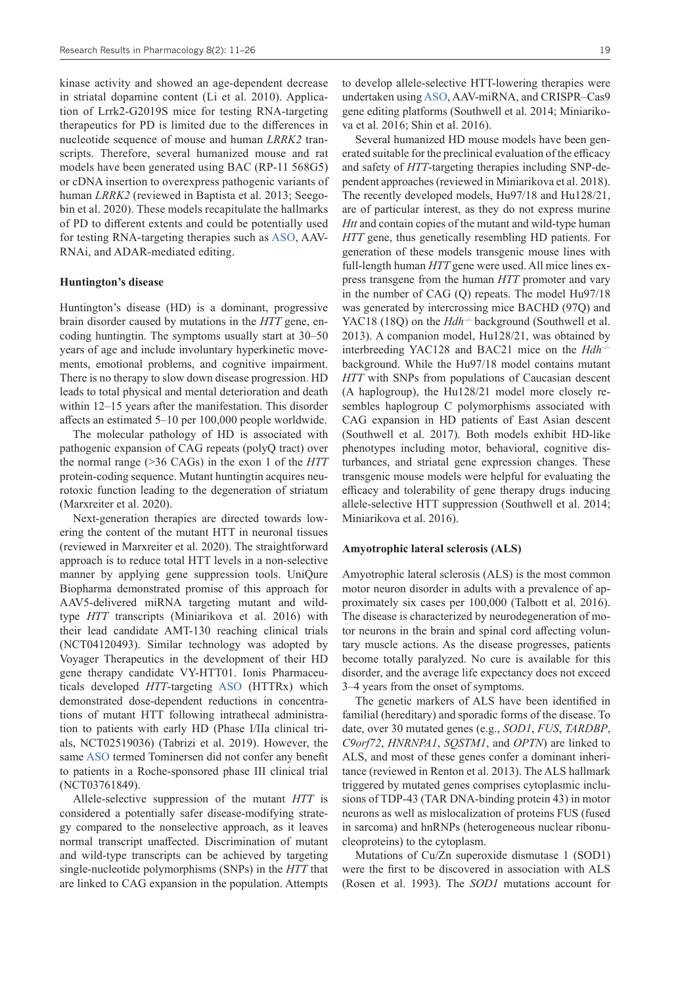kinase activity and showed an age-dependent decrease in striatal dopamine content (Li et al. 2010). Application of Lrrk2-G2019S mice for testing RNA-targeting therapeutics for PD is limited due to the differences in nucleotide sequence of mouse and human *LRRK2* transcripts. Therefore, several humanized mouse and rat models have been generated using BAC (RP-11 568G5) or cDNA insertion to overexpress pathogenic variants of human *LRRK2* (reviewed in Baptista et al. 2013; Seegobin et al. 2020). These models recapitulate the hallmarks of PD to different extents and could be potentially used for testing RNA-targeting therapies such as [ASO](https://pubchem.ncbi.nlm.nih.gov/patent/EP0605437), AAV-RNAi, and ADAR-mediated editing.

### **Huntington's disease**

Huntington's disease (HD) is a dominant, progressive brain disorder caused by mutations in the *HTT* gene, encoding huntingtin. The symptoms usually start at 30–50 years of age and include involuntary hyperkinetic movements, emotional problems, and cognitive impairment. There is no therapy to slow down disease progression. HD leads to total physical and mental deterioration and death within 12–15 years after the manifestation. This disorder affects an estimated 5–10 per 100,000 people worldwide.

The molecular pathology of HD is associated with pathogenic expansion of CAG repeats (polyQ tract) over the normal range (>36 CAGs) in the exon 1 of the *HTT* protein-coding sequence. Mutant huntingtin acquires neurotoxic function leading to the degeneration of striatum (Marxreiter et al. 2020).

Next-generation therapies are directed towards lowering the content of the mutant HTT in neuronal tissues (reviewed in Marxreiter et al. 2020). The straightforward approach is to reduce total HTT levels in a non-selective manner by applying gene suppression tools. UniQure Biopharma demonstrated promise of this approach for AAV5-delivered miRNA targeting mutant and wildtype *HTT* transcripts (Miniarikova et al. 2016) with their lead candidate AMT-130 reaching clinical trials (NCT04120493). Similar technology was adopted by Voyager Therapeutics in the development of their HD gene therapy candidate VY-HTT01. Ionis Pharmaceuticals developed *HTT*-targeting [ASO](https://pubchem.ncbi.nlm.nih.gov/patent/EP0605437) (HTTRx) which demonstrated dose-dependent reductions in concentrations of mutant HTT following intrathecal administration to patients with early HD (Phase I/IIa clinical trials, NCT02519036) (Tabrizi et al. 2019). However, the same [ASO](https://pubchem.ncbi.nlm.nih.gov/patent/EP0605437) termed Tominersen did not confer any benefit to patients in a Roche-sponsored phase III clinical trial (NCT03761849).

Allele-selective suppression of the mutant *HTT* is considered a potentially safer disease-modifying strategy compared to the nonselective approach, as it leaves normal transcript unaffected. Discrimination of mutant and wild-type transcripts can be achieved by targeting single-nucleotide polymorphisms (SNPs) in the *HTT* that are linked to CAG expansion in the population. Attempts to develop allele-selective HTT-lowering therapies were undertaken using [ASO](https://pubchem.ncbi.nlm.nih.gov/patent/EP0605437), AAV-miRNA, and CRISPR–Cas9 gene editing platforms (Southwell et al. 2014; Miniarikova et al. 2016; Shin et al. 2016).

Several humanized HD mouse models have been generated suitable for the preclinical evaluation of the efficacy and safety of *HTT*-targeting therapies including SNP-dependent approaches (reviewed in Miniarikova et al. 2018). The recently developed models, Hu97/18 and Hu128/21, are of particular interest, as they do not express murine *Htt* and contain copies of the mutant and wild-type human *HTT* gene, thus genetically resembling HD patients. For generation of these models transgenic mouse lines with full-length human *HTT* gene were used. All mice lines express transgene from the human *HTT* promoter and vary in the number of CAG (Q) repeats. The model Hu97/18 was generated by intercrossing mice BACHD (97Q) and YAC18 (18Q) on the *Hdh<sup>-/-</sup>* background (Southwell et al. 2013). A companion model, Hu128/21, was obtained by interbreeding YAC128 and BAC21 mice on the *Hdh–/–* background. While the Hu97/18 model contains mutant *HTT* with SNPs from populations of Caucasian descent (A haplogroup), the Hu128/21 model more closely resembles haplogroup C polymorphisms associated with CAG expansion in HD patients of East Asian descent (Southwell et al. 2017). Both models exhibit HD-like phenotypes including motor, behavioral, cognitive disturbances, and striatal gene expression changes. These transgenic mouse models were helpful for evaluating the efficacy and tolerability of gene therapy drugs inducing allele-selective HTT suppression (Southwell et al. 2014; Miniarikova et al. 2016).

### **Amyotrophic lateral sclerosis (ALS)**

Amyotrophic lateral sclerosis (ALS) is the most common motor neuron disorder in adults with a prevalence of approximately six cases per 100,000 (Talbott et al. 2016). The disease is characterized by neurodegeneration of motor neurons in the brain and spinal cord affecting voluntary muscle actions. As the disease progresses, patients become totally paralyzed. No cure is available for this disorder, and the average life expectancy does not exceed 3–4 years from the onset of symptoms.

The genetic markers of ALS have been identified in familial (hereditary) and sporadic forms of the disease. To date, over 30 mutated genes (e.g., *SOD1*, *FUS*, *TARDBP*, *C9orf72*, *HNRNPA1*, *SQSTM1*, and *OPTN*) are linked to ALS, and most of these genes confer a dominant inheritance (reviewed in Renton et al. 2013). The ALS hallmark triggered by mutated genes comprises cytoplasmic inclusions of TDP-43 (TAR DNA-binding protein 43) in motor neurons as well as mislocalization of proteins FUS (fused in sarcoma) and hnRNPs (heterogeneous nuclear ribonucleoproteins) to the cytoplasm.

Mutations of Cu/Zn superoxide dismutase 1 (SOD1) were the first to be discovered in association with ALS (Rosen et al. 1993). The *SOD1* mutations account for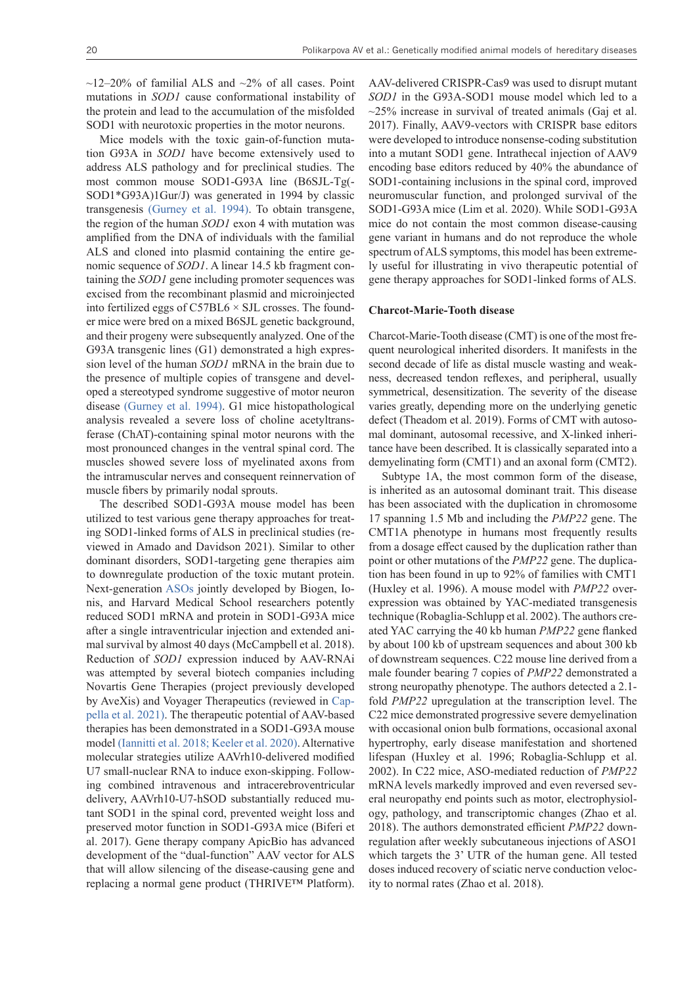$\sim$ 12–20% of familial ALS and  $\sim$ 2% of all cases. Point mutations in *SOD1* cause conformational instability of the protein and lead to the accumulation of the misfolded SOD1 with neurotoxic properties in the motor neurons.

Mice models with the toxic gain-of-function mutation G93A in *SOD1* have become extensively used to address ALS pathology and for preclinical studies. The most common mouse SOD1-G93A line (B6SJL-Tg(- SOD1\*G93A)1Gur/J) was generated in 1994 by classic transgenesis [\(Gurney et al. 1994\)](https://www.zotero.org/google-docs/?U2hrfr). To obtain transgene, the region of the human *SOD1* exon 4 with mutation was amplified from the DNA of individuals with the familial ALS and cloned into plasmid containing the entire genomic sequence of *SOD1*. A linear 14.5 kb fragment containing the *SOD1* gene including promoter sequences was excised from the recombinant plasmid and microinjected into fertilized eggs of  $C57BL6 \times SJL$  crosses. The founder mice were bred on a mixed B6SJL genetic background, and their progeny were subsequently analyzed. One of the G93A transgenic lines (G1) demonstrated a high expression level of the human *SOD1* mRNA in the brain due to the presence of multiple copies of transgene and developed a stereotyped syndrome suggestive of motor neuron disease [\(Gurney et al. 1994\).](https://www.zotero.org/google-docs/?v5Bbq1) G1 mice histopathological analysis revealed a severe loss of choline acetyltransferase (ChAT)-containing spinal motor neurons with the most pronounced changes in the ventral spinal cord. The muscles showed severe loss of myelinated axons from the intramuscular nerves and consequent reinnervation of muscle fibers by primarily nodal sprouts.

The described SOD1-G93A mouse model has been utilized to test various gene therapy approaches for treating SOD1-linked forms of ALS in preclinical studies (reviewed in Amado and Davidson 2021). Similar to other dominant disorders, SOD1-targeting gene therapies aim to downregulate production of the toxic mutant protein. Next-generation [ASOs](https://pubchem.ncbi.nlm.nih.gov/patent/EP0605437) jointly developed by Biogen, Ionis, and Harvard Medical School researchers potently reduced SOD1 mRNA and protein in SOD1-G93A mice after a single intraventricular injection and extended animal survival by almost 40 days (McCampbell et al. 2018). Reduction of *SOD1* expression induced by AAV-RNAi was attempted by several biotech companies including Novartis Gene Therapies (project previously developed by AveXis) and Voyager Therapeutics (reviewed in [Cap](https://www.zotero.org/google-docs/?uonavm)[pella et al. 2021\)](https://www.zotero.org/google-docs/?uonavm). The therapeutic potential of AAV-based therapies has been demonstrated in a SOD1-G93A mouse model [\(Iannitti et al. 2018; Keeler et al. 2020\)](https://www.zotero.org/google-docs/?xZSAjY). Alternative molecular strategies utilize AAVrh10-delivered modified U7 small-nuclear RNA to induce exon-skipping. Following combined intravenous and intracerebroventricular delivery, AAVrh10-U7-hSOD substantially reduced mutant SOD1 in the spinal cord, prevented weight loss and preserved motor function in SOD1-G93A mice (Biferi et al. 2017). Gene therapy company ApicBio has advanced development of the "dual-function" AAV vector for ALS that will allow silencing of the disease-causing gene and replacing a normal gene product (THRIVE™ Platform).

AAV-delivered CRISPR-Cas9 was used to disrupt mutant *SOD1* in the G93A-SOD1 mouse model which led to a  $\sim$ 25% increase in survival of treated animals (Gaj et al. 2017). Finally, AAV9-vectors with CRISPR base editors were developed to introduce nonsense-coding substitution into a mutant SOD1 gene. Intrathecal injection of AAV9 encoding base editors reduced by 40% the abundance of SOD1-containing inclusions in the spinal cord, improved neuromuscular function, and prolonged survival of the SOD1-G93A mice (Lim et al. 2020). While SOD1-G93A mice do not contain the most common disease-causing gene variant in humans and do not reproduce the whole spectrum of ALS symptoms, this model has been extremely useful for illustrating in vivo therapeutic potential of gene therapy approaches for SOD1-linked forms of ALS.

### **Charcot-Marie-Tooth disease**

Charcot-Marie-Tooth disease (CMT) is one of the most frequent neurological inherited disorders. It manifests in the second decade of life as distal muscle wasting and weakness, decreased tendon reflexes, and peripheral, usually symmetrical, desensitization. The severity of the disease varies greatly, depending more on the underlying genetic defect (Theadom et al. 2019). Forms of CMT with autosomal dominant, autosomal recessive, and X-linked inheritance have been described. It is classically separated into a demyelinating form (CMT1) and an axonal form (CMT2).

Subtype 1A, the most common form of the disease, is inherited as an autosomal dominant trait. This disease has been associated with the duplication in chromosome 17 spanning 1.5 Mb and including the *PMP22* gene. The CMT1A phenotype in humans most frequently results from a dosage effect caused by the duplication rather than point or other mutations of the *PMP22* gene. The duplication has been found in up to 92% of families with CMT1 (Huxley et al. 1996). A mouse model with *PMP22* overexpression was obtained by YAC-mediated transgenesis technique (Robaglia-Schlupp et al. 2002). The authors created YAC carrying the 40 kb human *PMP22* gene flanked by about 100 kb of upstream sequences and about 300 kb of downstream sequences. C22 mouse line derived from a male founder bearing 7 copies of *PMP22* demonstrated a strong neuropathy phenotype. The authors detected a 2.1 fold *PMP22* upregulation at the transcription level. The C22 mice demonstrated progressive severe demyelination with occasional onion bulb formations, occasional axonal hypertrophy, early disease manifestation and shortened lifespan (Huxley et al. 1996; Robaglia-Schlupp et al. 2002). In C22 mice, ASO-mediated reduction of *PMP22* mRNA levels markedly improved and even reversed several neuropathy end points such as motor, electrophysiology, pathology, and transcriptomic changes (Zhao et al. 2018). The authors demonstrated efficient *PMP22* downregulation after weekly subcutaneous injections of ASO1 which targets the 3' UTR of the human gene. All tested doses induced recovery of sciatic nerve conduction velocity to normal rates (Zhao et al. 2018).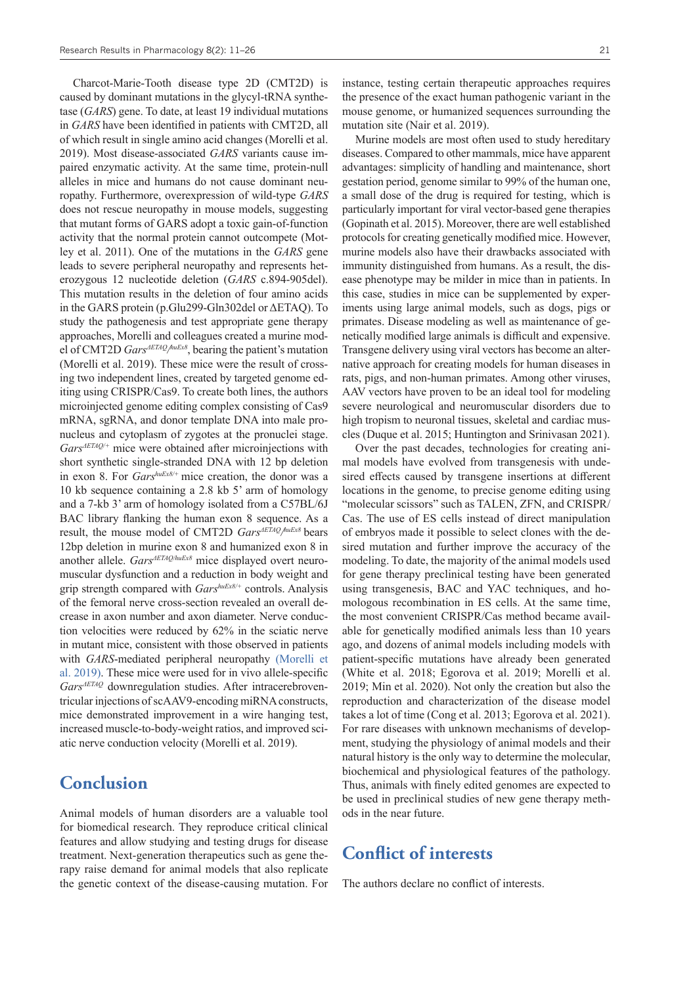Charcot-Marie-Tooth disease type 2D (CMT2D) is caused by dominant mutations in the glycyl-tRNA synthetase (*GARS*) gene. To date, at least 19 individual mutations in *GARS* have been identified in patients with CMT2D, all of which result in single amino acid changes (Morelli et al. 2019). Most disease-associated *GARS* variants cause impaired enzymatic activity. At the same time, protein-null alleles in mice and humans do not cause dominant neuropathy. Furthermore, overexpression of wild-type *GARS* does not rescue neuropathy in mouse models, suggesting that mutant forms of GARS adopt a toxic gain-of-function activity that the normal protein cannot outcompete (Motley et al. 2011). One of the mutations in the *GARS* gene leads to severe peripheral neuropathy and represents heterozygous 12 nucleotide deletion (*GARS* c.894-905del). This mutation results in the deletion of four amino acids in the GARS protein (p.Glu299-Gln302del or ΔETAQ). To study the pathogenesis and test appropriate gene therapy approaches, Morelli and colleagues created a murine model of CMT2D *GarsΔETAQ/ huEx8*, bearing the patient's mutation (Morelli et al. 2019). These mice were the result of crossing two independent lines, created by targeted genome editing using CRISPR/Cas9. To create both lines, the authors microinjected genome editing complex consisting of Cas9 mRNA, sgRNA, and donor template DNA into male pronucleus and cytoplasm of zygotes at the pronuclei stage. *GarsΔETAQ/+* mice were obtained after microinjections with short synthetic single-stranded DNA with 12 bp deletion in exon 8. For *GarshuEx8/+* mice creation, the donor was a 10 kb sequence containing a 2.8 kb 5' arm of homology and a 7-kb 3' arm of homology isolated from a C57BL/6J BAC library flanking the human exon 8 sequence. As a result, the mouse model of CMT2D *GarsΔETAQ/ huEx8* bears 12bp deletion in murine exon 8 and humanized exon 8 in another allele. *GarsΔETAQ/huEx8* mice displayed overt neuromuscular dysfunction and a reduction in body weight and grip strength compared with *GarshuEx8/+* controls. Analysis of the femoral nerve cross-section revealed an overall decrease in axon number and axon diameter. Nerve conduction velocities were reduced by 62% in the sciatic nerve in mutant mice, consistent with those observed in patients with *GARS*-mediated peripheral neuropathy [\(Morelli et](https://www.zotero.org/google-docs/?Rtucqt) [al. 2019\)](https://www.zotero.org/google-docs/?Rtucqt). These mice were used for in vivo allele-specific *GarsΔETAQ* downregulation studies. After intracerebroventricular injections of scAAV9-encoding miRNA constructs, mice demonstrated improvement in a wire hanging test, increased muscle-to-body-weight ratios, and improved sciatic nerve conduction velocity (Morelli et al. 2019).

## **Conclusion**

Animal models of human disorders are a valuable tool for biomedical research. They reproduce critical clinical features and allow studying and testing drugs for disease treatment. Next-generation therapeutics such as gene therapy raise demand for animal models that also replicate the genetic context of the disease-causing mutation. For instance, testing certain therapeutic approaches requires the presence of the exact human pathogenic variant in the mouse genome, or humanized sequences surrounding the mutation site (Nair et al. 2019).

Murine models are most often used to study hereditary diseases. Compared to other mammals, mice have apparent advantages: simplicity of handling and maintenance, short gestation period, genome similar to 99% of the human one, a small dose of the drug is required for testing, which is particularly important for viral vector-based gene therapies (Gopinath et al. 2015). Moreover, there are well established protocols for creating genetically modified mice. However, murine models also have their drawbacks associated with immunity distinguished from humans. As a result, the disease phenotype may be milder in mice than in patients. In this case, studies in mice can be supplemented by experiments using large animal models, such as dogs, pigs or primates. Disease modeling as well as maintenance of genetically modified large animals is difficult and expensive. Transgene delivery using viral vectors has become an alternative approach for creating models for human diseases in rats, pigs, and non-human primates. Among other viruses, AAV vectors have proven to be an ideal tool for modeling severe neurological and neuromuscular disorders due to high tropism to neuronal tissues, skeletal and cardiac muscles (Duque et al. 2015; Huntington and Srinivasan 2021).

Over the past decades, technologies for creating animal models have evolved from transgenesis with undesired effects caused by transgene insertions at different locations in the genome, to precise genome editing using "molecular scissors" such as TALEN, ZFN, and CRISPR/ Cas. The use of ES cells instead of direct manipulation of embryos made it possible to select clones with the desired mutation and further improve the accuracy of the modeling. To date, the majority of the animal models used for gene therapy preclinical testing have been generated using transgenesis, BAC and YAC techniques, and homologous recombination in ES cells. At the same time, the most convenient CRISPR/Cas method became available for genetically modified animals less than 10 years ago, and dozens of animal models including models with patient-specific mutations have already been generated (White et al. 2018; Egorova et al. 2019; Morelli et al. 2019; Min et al. 2020). Not only the creation but also the reproduction and characterization of the disease model takes a lot of time (Cong et al. 2013; Egorova et al. 2021). For rare diseases with unknown mechanisms of development, studying the physiology of animal models and their natural history is the only way to determine the molecular, biochemical and physiological features of the pathology. Thus, animals with finely edited genomes are expected to be used in preclinical studies of new gene therapy methods in the near future.

### **Conflict of interests**

The authors declare no conflict of interests.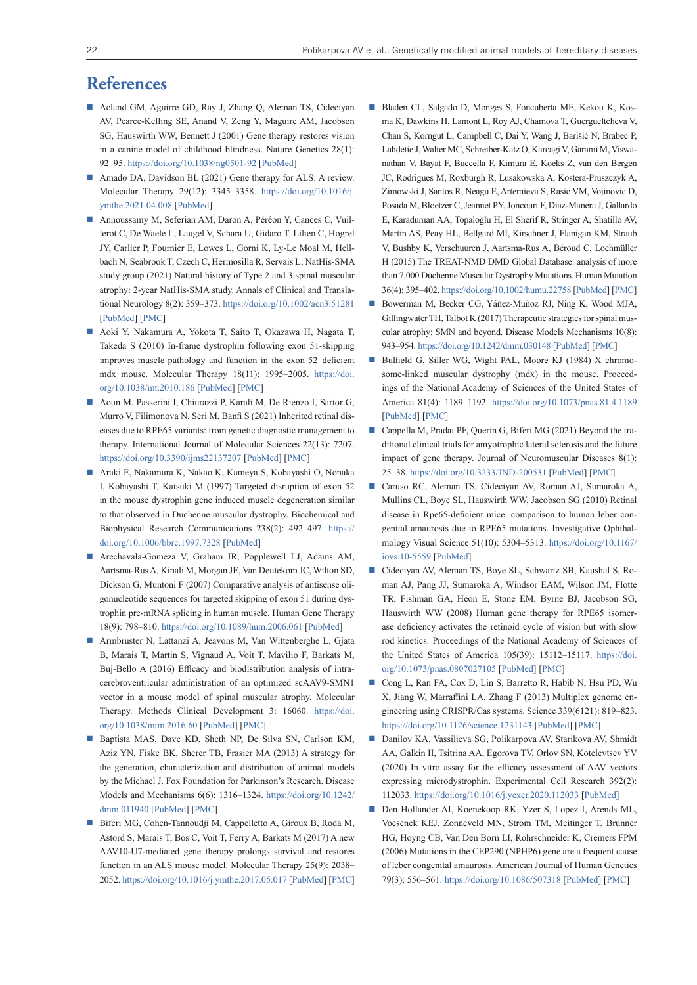# **References**

- Acland GM, Aguirre GD, Ray J, Zhang Q, Aleman TS, Cideciyan AV, Pearce-Kelling SE, Anand V, Zeng Y, Maguire AM, Jacobson SG, Hauswirth WW, Bennett J (2001) Gene therapy restores vision in a canine model of childhood blindness. Nature Genetics 28(1): 92–95.<https://doi.org/10.1038/ng0501-92> [[PubMed\]](https://pubmed.ncbi.nlm.nih.gov/11326284/)
- Amado DA, Davidson BL (2021) Gene therapy for ALS: A review. Molecular Therapy 29(12): 3345–3358. [https://doi.org/10.1016/j.](https://doi.org/10.1016/j.ymthe.2021.04.008) [ymthe.2021.04.008](https://doi.org/10.1016/j.ymthe.2021.04.008) [[PubMed\]](https://pubmed.ncbi.nlm.nih.gov/33839324/)
- Annoussamy M, Seferian AM, Daron A, Péréon Y, Cances C, Vuillerot C, De Waele L, Laugel V, Schara U, Gidaro T, Lilien C, Hogrel JY, Carlier P, Fournier E, Lowes L, Gorni K, Ly-Le Moal M, Hellbach N, Seabrook T, Czech C, Hermosilla R, Servais L; NatHis-SMA study group (2021) Natural history of Type 2 and 3 spinal muscular atrophy: 2-year NatHis-SMA study. Annals of Clinical and Translational Neurology 8(2): 359–373.<https://doi.org/10.1002/acn3.51281> [[PubMed\]](https://pubmed.ncbi.nlm.nih.gov/33369268/) [\[PMC](https://www.ncbi.nlm.nih.gov/pmc/articles/PMC7886049/)]
- Aoki Y, Nakamura A, Yokota T, Saito T, Okazawa H, Nagata T, Takeda S (2010) In-frame dystrophin following exon 51-skipping improves muscle pathology and function in the exon 52–deficient mdx mouse. Molecular Therapy 18(11): 1995–2005. [https://doi.](https://doi.org/10.1038/mt.2010.186) [org/10.1038/mt.2010.186](https://doi.org/10.1038/mt.2010.186) [\[PubMed](https://pubmed.ncbi.nlm.nih.gov/20823833/)] [[PMC](https://www.ncbi.nlm.nih.gov/pmc/articles/PMC2990521/)]
- Aoun M, Passerini I, Chiurazzi P, Karali M, De Rienzo I, Sartor G, Murro V, Filimonova N, Seri M, Banfi S (2021) Inherited retinal diseases due to RPE65 variants: from genetic diagnostic management to therapy. International Journal of Molecular Sciences 22(13): 7207. <https://doi.org/10.3390/ijms22137207> [[PubMed](https://pubmed.ncbi.nlm.nih.gov/34281261/)] [\[PMC](https://www.ncbi.nlm.nih.gov/pmc/articles/PMC8268668/)]
- Araki E, Nakamura K, Nakao K, Kameya S, Kobayashi O, Nonaka I, Kobayashi T, Katsuki M (1997) Targeted disruption of exon 52 in the mouse dystrophin gene induced muscle degeneration similar to that observed in Duchenne muscular dystrophy. Biochemical and Biophysical Research Communications 238(2): 492–497. [https://](https://doi.org/10.1006/bbrc.1997.7328) [doi.org/10.1006/bbrc.1997.7328](https://doi.org/10.1006/bbrc.1997.7328) [\[PubMed](https://pubmed.ncbi.nlm.nih.gov/9299538/)]
- Arechavala-Gomeza V, Graham IR, Popplewell LJ, Adams AM, Aartsma-Rus A, Kinali M, Morgan JE, Van Deutekom JC, Wilton SD, Dickson G, Muntoni F (2007) Comparative analysis of antisense oligonucleotide sequences for targeted skipping of exon 51 during dystrophin pre-mRNA splicing in human muscle. Human Gene Therapy 18(9): 798–810.<https://doi.org/10.1089/hum.2006.061>[\[PubMed](https://pubmed.ncbi.nlm.nih.gov/17767400/)]
- Armbruster N, Lattanzi A, Jeavons M, Van Wittenberghe L, Gjata B, Marais T, Martin S, Vignaud A, Voit T, Mavilio F, Barkats M, Buj-Bello A (2016) Efficacy and biodistribution analysis of intracerebroventricular administration of an optimized scAAV9-SMN1 vector in a mouse model of spinal muscular atrophy. Molecular Therapy. Methods Clinical Development 3: 16060. [https://doi.](https://doi.org/10.1038/mtm.2016.60) [org/10.1038/mtm.2016.60](https://doi.org/10.1038/mtm.2016.60) [\[PubMed](https://pubmed.ncbi.nlm.nih.gov/27652289/)] [[PMC\]](https://www.ncbi.nlm.nih.gov/pmc/articles/PMC5022869/)
- Baptista MAS, Dave KD, Sheth NP, De Silva SN, Carlson KM, Aziz YN, Fiske BK, Sherer TB, Frasier MA (2013) A strategy for the generation, characterization and distribution of animal models by the Michael J. Fox Foundation for Parkinson's Research. Disease Models and Mechanisms 6(6): 1316–1324. [https://doi.org/10.1242/](https://doi.org/10.1242/dmm.011940) [dmm.011940](https://doi.org/10.1242/dmm.011940) [[PubMed\]](https://pubmed.ncbi.nlm.nih.gov/24046356/) [\[PMC](https://www.ncbi.nlm.nih.gov/pmc/articles/PMC3820256/)]
- Biferi MG, Cohen-Tannoudji M, Cappelletto A, Giroux B, Roda M, Astord S, Marais T, Bos C, Voit T, Ferry A, Barkats M (2017) A new AAV10-U7-mediated gene therapy prolongs survival and restores function in an ALS mouse model. Molecular Therapy 25(9): 2038– 2052. <https://doi.org/10.1016/j.ymthe.2017.05.017> [[PubMed\]](https://pubmed.ncbi.nlm.nih.gov/28663100/) [\[PMC](https://www.ncbi.nlm.nih.gov/pmc/articles/PMC5589057/)]
- Bladen CL, Salgado D, Monges S, Foncuberta ME, Kekou K, Kosma K, Dawkins H, Lamont L, Roy AJ, Chamova T, Guergueltcheva V, Chan S, Korngut L, Campbell C, Dai Y, Wang J, Barišić N, Brabec P, Lahdetie J, Walter MC, Schreiber-Katz O, Karcagi V, Garami M, Viswanathan V, Bayat F, Buccella F, Kimura E, Koeks Z, van den Bergen JC, Rodrigues M, Roxburgh R, Lusakowska A, Kostera-Pruszczyk A, Zimowski J, Santos R, Neagu E, Artemieva S, Rasic VM, Vojinovic D, Posada M, Bloetzer C, Jeannet PY, Joncourt F, Díaz-Manera J, Gallardo E, Karaduman AA, Topaloğlu H, El Sherif R, Stringer A, Shatillo AV, Martin AS, Peay HL, Bellgard MI, Kirschner J, Flanigan KM, Straub V, Bushby K, Verschuuren J, Aartsma-Rus A, Béroud C, Lochmüller H (2015) The TREAT-NMD DMD Global Database: analysis of more than 7,000 Duchenne Muscular Dystrophy Mutations. Human Mutation 36(4): 395–402.<https://doi.org/10.1002/humu.22758>[\[PubMed](https://pubmed.ncbi.nlm.nih.gov/25604253/)] [\[PMC\]](https://www.ncbi.nlm.nih.gov/pmc/articles/PMC4405042/)
- Bowerman M, Becker CG, Yáñez-Muñoz RJ, Ning K, Wood MJA, Gillingwater TH, Talbot K (2017) Therapeutic strategies for spinal muscular atrophy: SMN and beyond. Disease Models Mechanisms 10(8): 943–954.<https://doi.org/10.1242/dmm.030148>[\[PubMed](https://pubmed.ncbi.nlm.nih.gov/28768735/)] [\[PMC\]](https://www.ncbi.nlm.nih.gov/pmc/articles/PMC5560066/)
- Bulfield G, Siller WG, Wight PAL, Moore KJ (1984) X chromosome-linked muscular dystrophy (mdx) in the mouse. Proceedings of the National Academy of Sciences of the United States of America 81(4): 1189–1192. <https://doi.org/10.1073/pnas.81.4.1189> [[PubMed](https://pubmed.ncbi.nlm.nih.gov/6583703/)] [\[PMC](https://www.ncbi.nlm.nih.gov/pmc/articles/PMC344791/)]
- Cappella M, Pradat PF, Querin G, Biferi MG (2021) Beyond the traditional clinical trials for amyotrophic lateral sclerosis and the future impact of gene therapy. Journal of Neuromuscular Diseases 8(1): 25–38.<https://doi.org/10.3233/JND-200531> [[PubMed\]](https://pubmed.ncbi.nlm.nih.gov/33074186/) [\[PMC](https://www.ncbi.nlm.nih.gov/pmc/articles/PMC7902976/)]
- Caruso RC, Aleman TS, Cideciyan AV, Roman AJ, Sumaroka A, Mullins CL, Boye SL, Hauswirth WW, Jacobson SG (2010) Retinal disease in Rpe65-deficient mice: comparison to human leber congenital amaurosis due to RPE65 mutations. Investigative Ophthalmology Visual Science 51(10): 5304–5313. [https://doi.org/10.1167/](https://doi.org/10.1167/iovs.10-5559) [iovs.10-5559](https://doi.org/10.1167/iovs.10-5559) [[PubMed](https://pubmed.ncbi.nlm.nih.gov/20484585/)]
- Cideciyan AV, Aleman TS, Boye SL, Schwartz SB, Kaushal S, Roman AJ, Pang JJ, Sumaroka A, Windsor EAM, Wilson JM, Flotte TR, Fishman GA, Heon E, Stone EM, Byrne BJ, Jacobson SG, Hauswirth WW (2008) Human gene therapy for RPE65 isomerase deficiency activates the retinoid cycle of vision but with slow rod kinetics. Proceedings of the National Academy of Sciences of the United States of America 105(39): 15112–15117. [https://doi.](https://doi.org/10.1073/pnas.0807027105) [org/10.1073/pnas.0807027105](https://doi.org/10.1073/pnas.0807027105) [[PubMed\]](https://pubmed.ncbi.nlm.nih.gov/18809924/) [\[PMC\]](https://www.ncbi.nlm.nih.gov/pmc/articles/PMC2567501/)
- Cong L, Ran FA, Cox D, Lin S, Barretto R, Habib N, Hsu PD, Wu X, Jiang W, Marraffini LA, Zhang F (2013) Multiplex genome engineering using CRISPR/Cas systems. Science 339(6121): 819–823. <https://doi.org/10.1126/science.1231143>[\[PubMed](https://pubmed.ncbi.nlm.nih.gov/23287718/)] [[PMC\]](https://www.ncbi.nlm.nih.gov/pmc/articles/PMC3795411/)
- Danilov KA, Vassilieva SG, Polikarpova AV, Starikova AV, Shmidt AA, Galkin II, Tsitrina AA, Egorova TV, Orlov SN, Kotelevtsev YV (2020) In vitro assay for the efficacy assessment of AAV vectors expressing microdystrophin. Experimental Cell Research 392(2): 112033.<https://doi.org/10.1016/j.yexcr.2020.112033>[\[PubMed](https://pubmed.ncbi.nlm.nih.gov/32360435/)]
- Den Hollander AI, Koenekoop RK, Yzer S, Lopez I, Arends ML, Voesenek KEJ, Zonneveld MN, Strom TM, Meitinger T, Brunner HG, Hoyng CB, Van Den Born LI, Rohrschneider K, Cremers FPM (2006) Mutations in the CEP290 (NPHP6) gene are a frequent cause of leber congenital amaurosis. American Journal of Human Genetics 79(3): 556–561. <https://doi.org/10.1086/507318> [[PubMed](https://pubmed.ncbi.nlm.nih.gov/16909394/)] [\[PMC](https://www.ncbi.nlm.nih.gov/pmc/articles/PMC1559533/)]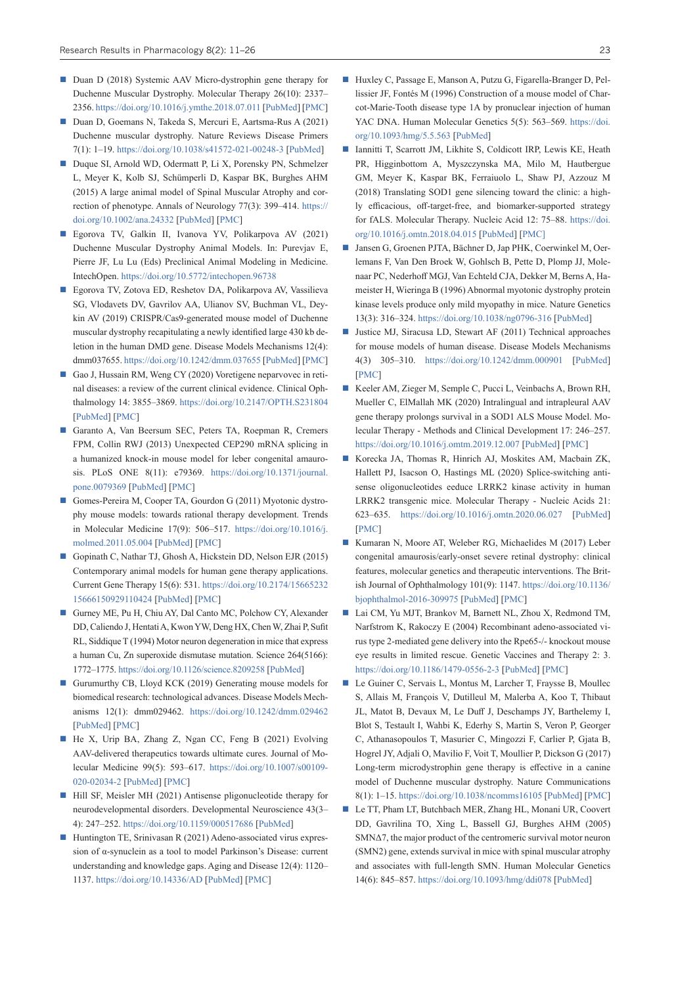- Duan D (2018) Systemic AAV Micro-dystrophin gene therapy for Duchenne Muscular Dystrophy. Molecular Therapy 26(10): 2337– 2356.<https://doi.org/10.1016/j.ymthe.2018.07.011>[[PubMed\]](https://pubmed.ncbi.nlm.nih.gov/30093306/) [[PMC\]](https://www.ncbi.nlm.nih.gov/pmc/articles/PMC6171037/)
- Duan D, Goemans N, Takeda S, Mercuri E, Aartsma-Rus A (2021) Duchenne muscular dystrophy. Nature Reviews Disease Primers 7(1): 1–19. <https://doi.org/10.1038/s41572-021-00248-3> [\[PubMed](https://pubmed.ncbi.nlm.nih.gov/33602943/)]
- Duque SI, Arnold WD, Odermatt P, Li X, Porensky PN, Schmelzer L, Meyer K, Kolb SJ, Schümperli D, Kaspar BK, Burghes AHM (2015) A large animal model of Spinal Muscular Atrophy and correction of phenotype. Annals of Neurology 77(3): 399–414. [https://](https://doi.org/10.1002/ana.24332) [doi.org/10.1002/ana.24332](https://doi.org/10.1002/ana.24332) [\[PubMed](https://pubmed.ncbi.nlm.nih.gov/25516063/)] [[PMC\]](https://www.ncbi.nlm.nih.gov/pmc/articles/PMC4453930/)
- Egorova TV, Galkin II, Ivanova YV, Polikarpova AV (2021) Duchenne Muscular Dystrophy Animal Models. In: Purevjav E, Pierre JF, Lu Lu (Eds) Preclinical Animal Modeling in Medicine. IntechOpen. <https://doi.org/10.5772/intechopen.96738>
- Egorova TV, Zotova ED, Reshetov DA, Polikarpova AV, Vassilieva SG, Vlodavets DV, Gavrilov AA, Ulianov SV, Buchman VL, Deykin AV (2019) CRISPR/Cas9-generated mouse model of Duchenne muscular dystrophy recapitulating a newly identified large 430 kb deletion in the human DMD gene. Disease Models Mechanisms 12(4): dmm037655.<https://doi.org/10.1242/dmm.037655>[\[PubMed\]](https://pubmed.ncbi.nlm.nih.gov/31028078/) [[PMC\]](https://www.ncbi.nlm.nih.gov/pmc/articles/PMC6505476/)
- Gao J, Hussain RM, Weng CY (2020) Voretigene neparvovec in retinal diseases: a review of the current clinical evidence. Clinical Ophthalmology 14: 3855–3869. <https://doi.org/10.2147/OPTH.S231804> [\[PubMed](https://pubmed.ncbi.nlm.nih.gov/33223822/)] [\[PMC](https://www.ncbi.nlm.nih.gov/pmc/articles/PMC7671481/)]
- Garanto A, Van Beersum SEC, Peters TA, Roepman R, Cremers FPM, Collin RWJ (2013) Unexpected CEP290 mRNA splicing in a humanized knock-in mouse model for leber congenital amaurosis. PLoS ONE 8(11): e79369. [https://doi.org/10.1371/journal.](https://doi.org/10.1371/journal.pone.0079369) [pone.0079369](https://doi.org/10.1371/journal.pone.0079369) [[PubMed\]](https://pubmed.ncbi.nlm.nih.gov/24223178/) [\[PMC\]](https://www.ncbi.nlm.nih.gov/pmc/articles/PMC3819269/)
- Gomes-Pereira M, Cooper TA, Gourdon G (2011) Myotonic dystrophy mouse models: towards rational therapy development. Trends in Molecular Medicine 17(9): 506–517. [https://doi.org/10.1016/j.](https://doi.org/10.1016/j.molmed.2011.05.004) [molmed.2011.05.004](https://doi.org/10.1016/j.molmed.2011.05.004) [[PubMed](https://pubmed.ncbi.nlm.nih.gov/21724467/)] [\[PMC](https://www.ncbi.nlm.nih.gov/pmc/articles/PMC3881009/)]
- Gopinath C, Nathar TJ, Ghosh A, Hickstein DD, Nelson EJR (2015) Contemporary animal models for human gene therapy applications. Current Gene Therapy 15(6): 531. [https://doi.org/10.2174/15665232](https://doi.org/10.2174/1566523215666150929110424) [15666150929110424](https://doi.org/10.2174/1566523215666150929110424) [[PubMed\]](https://pubmed.ncbi.nlm.nih.gov/26415576/) [\[PMC](https://www.ncbi.nlm.nih.gov/pmc/articles/PMC7709571/)]
- Gurney ME, Pu H, Chiu AY, Dal Canto MC, Polchow CY, Alexander DD, Caliendo J, Hentati A, Kwon YW, Deng HX, Chen W, Zhai P, Sufit RL, Siddique T (1994) Motor neuron degeneration in mice that express a human Cu, Zn superoxide dismutase mutation. Science 264(5166): 1772–1775.<https://doi.org/10.1126/science.8209258> [[PubMed](https://pubmed.ncbi.nlm.nih.gov/8209258/)]
- Gurumurthy CB, Lloyd KCK (2019) Generating mouse models for biomedical research: technological advances. Disease Models Mechanisms 12(1): dmm029462. <https://doi.org/10.1242/dmm.029462> [\[PubMed](https://pubmed.ncbi.nlm.nih.gov/30626588/)] [\[PMC](https://www.ncbi.nlm.nih.gov/pmc/articles/PMC6361157/)]
- He X, Urip BA, Zhang Z, Ngan CC, Feng B (2021) Evolving AAV-delivered therapeutics towards ultimate cures. Journal of Molecular Medicine 99(5): 593–617. [https://doi.org/10.1007/s00109-](https://doi.org/10.1007/s00109-020-02034-2) [020-02034-2](https://doi.org/10.1007/s00109-020-02034-2) [\[PubMed](https://pubmed.ncbi.nlm.nih.gov/33594520/)] [[PMC\]](https://www.ncbi.nlm.nih.gov/pmc/articles/PMC7885987/)
- Hill SF, Meisler MH (2021) Antisense pligonucleotide therapy for neurodevelopmental disorders. Developmental Neuroscience 43(3– 4): 247–252.<https://doi.org/10.1159/000517686> [\[PubMed](https://pubmed.ncbi.nlm.nih.gov/34412058/)]
- Huntington TE, Srinivasan R (2021) Adeno-associated virus expression of α-synuclein as a tool to model Parkinson's Disease: current understanding and knowledge gaps. Aging and Disease 12(4): 1120– 1137.<https://doi.org/10.14336/AD> [[PubMed\]](https://pubmed.ncbi.nlm.nih.gov/34221553/) [\[PMC](https://www.ncbi.nlm.nih.gov/pmc/articles/PMC8219504/)]
- Huxley C, Passage E, Manson A, Putzu G, Figarella-Branger D, Pellissier JF, Fontés M (1996) Construction of a mouse model of Charcot-Marie-Tooth disease type 1A by pronuclear injection of human YAC DNA. Human Molecular Genetics 5(5): 563–569. [https://doi.](https://doi.org/10.1093/hmg/5.5.563) [org/10.1093/hmg/5.5.563](https://doi.org/10.1093/hmg/5.5.563) [[PubMed\]](https://pubmed.ncbi.nlm.nih.gov/8733121/)
- Iannitti T, Scarrott JM, Likhite S, Coldicott IRP, Lewis KE, Heath PR, Higginbottom A, Myszczynska MA, Milo M, Hautbergue GM, Meyer K, Kaspar BK, Ferraiuolo L, Shaw PJ, Azzouz M (2018) Translating SOD1 gene silencing toward the clinic: a highly efficacious, off-target-free, and biomarker-supported strategy for fALS. Molecular Therapy. Nucleic Acid 12: 75–88. [https://doi.](https://doi.org/10.1016/j.omtn.2018.04.015) [org/10.1016/j.omtn.2018.04.015](https://doi.org/10.1016/j.omtn.2018.04.015) [[PubMed](https://pubmed.ncbi.nlm.nih.gov/30195799/)] [\[PMC\]](https://www.ncbi.nlm.nih.gov/pmc/articles/PMC6023790/)
- Jansen G, Groenen PJTA, Bächner D, Jap PHK, Coerwinkel M, Oerlemans F, Van Den Broek W, Gohlsch B, Pette D, Plomp JJ, Molenaar PC, Nederhoff MGJ, Van Echteld CJA, Dekker M, Berns A, Hameister H, Wieringa B (1996) Abnormal myotonic dystrophy protein kinase levels produce only mild myopathy in mice. Nature Genetics 13(3): 316–324.<https://doi.org/10.1038/ng0796-316> [[PubMed](https://pubmed.ncbi.nlm.nih.gov/8673131/)]
- Justice MJ, Siracusa LD, Stewart AF (2011) Technical approaches for mouse models of human disease. Disease Models Mechanisms 4(3) 305–310. <https://doi.org/10.1242/dmm.000901> [[PubMed\]](https://pubmed.ncbi.nlm.nih.gov/21558063/) [\[PMC](https://www.ncbi.nlm.nih.gov/pmc/articles/PMC3097452/)]
- Keeler AM, Zieger M, Semple C, Pucci L, Veinbachs A, Brown RH, Mueller C, ElMallah MK (2020) Intralingual and intrapleural AAV gene therapy prolongs survival in a SOD1 ALS Mouse Model. Molecular Therapy - Methods and Clinical Development 17: 246–257. <https://doi.org/10.1016/j.omtm.2019.12.007>[[PubMed\]](https://pubmed.ncbi.nlm.nih.gov/31970202/) [\[PMC\]](https://www.ncbi.nlm.nih.gov/pmc/articles/PMC6962641/)
- Korecka JA, Thomas R, Hinrich AJ, Moskites AM, Macbain ZK, Hallett PJ, Isacson O, Hastings ML (2020) Splice-switching antisense oligonucleotides eeduce LRRK2 kinase activity in human LRRK2 transgenic mice. Molecular Therapy - Nucleic Acids 21: 623–635. <https://doi.org/10.1016/j.omtn.2020.06.027> [[PubMed\]](https://pubmed.ncbi.nlm.nih.gov/32736291/) [\[PMC](https://www.ncbi.nlm.nih.gov/pmc/articles/PMC7393423/)]
- Kumaran N, Moore AT, Weleber RG, Michaelides M (2017) Leber congenital amaurosis/early-onset severe retinal dystrophy: clinical features, molecular genetics and therapeutic interventions. The British Journal of Ophthalmology 101(9): 1147. [https://doi.org/10.1136/](https://doi.org/10.1136/bjophthalmol-2016-309975) [bjophthalmol-2016-309975](https://doi.org/10.1136/bjophthalmol-2016-309975) [\[PubMed](https://pubmed.ncbi.nlm.nih.gov/28689169/)] [[PMC\]](https://www.ncbi.nlm.nih.gov/pmc/articles/PMC5574398/)
- Lai CM, Yu MJT, Brankov M, Barnett NL, Zhou X, Redmond TM, Narfstrom K, Rakoczy E (2004) Recombinant adeno-associated virus type 2-mediated gene delivery into the Rpe65-/- knockout mouse eye results in limited rescue. Genetic Vaccines and Therapy 2: 3. <https://doi.org/10.1186/1479-0556-2-3>[\[PubMed\]](https://pubmed.ncbi.nlm.nih.gov/15109394/) [[PMC\]](https://www.ncbi.nlm.nih.gov/pmc/articles/PMC416492/)
- Le Guiner C, Servais L, Montus M, Larcher T, Fraysse B, Moullec S, Allais M, François V, Dutilleul M, Malerba A, Koo T, Thibaut JL, Matot B, Devaux M, Le Duff J, Deschamps JY, Barthelemy I, Blot S, Testault I, Wahbi K, Ederhy S, Martin S, Veron P, Georger C, Athanasopoulos T, Masurier C, Mingozzi F, Carlier P, Gjata B, Hogrel JY, Adjali O, Mavilio F, Voit T, Moullier P, Dickson G (2017) Long-term microdystrophin gene therapy is effective in a canine model of Duchenne muscular dystrophy. Nature Communications 8(1): 1–15. <https://doi.org/10.1038/ncomms16105> [[PubMed\]](https://pubmed.ncbi.nlm.nih.gov/28742067/) [\[PMC\]](https://www.ncbi.nlm.nih.gov/pmc/articles/PMC5537486/)
- Le TT, Pham LT, Butchbach MER, Zhang HL, Monani UR, Coovert DD, Gavrilina TO, Xing L, Bassell GJ, Burghes AHM (2005) SMNΔ7, the major product of the centromeric survival motor neuron (SMN2) gene, extends survival in mice with spinal muscular atrophy and associates with full-length SMN. Human Molecular Genetics 14(6): 845–857.<https://doi.org/10.1093/hmg/ddi078> [[PubMed](https://pubmed.ncbi.nlm.nih.gov/15703193/)]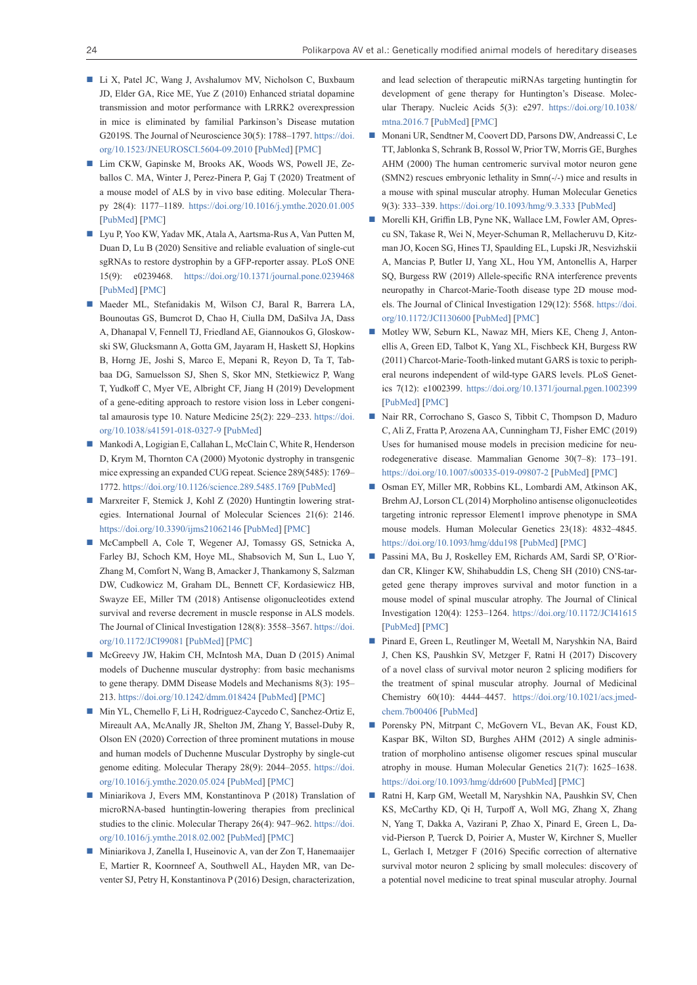- Li X, Patel JC, Wang J, Avshalumov MV, Nicholson C, Buxbaum JD, Elder GA, Rice ME, Yue Z (2010) Enhanced striatal dopamine transmission and motor performance with LRRK2 overexpression in mice is eliminated by familial Parkinson's Disease mutation G2019S. The Journal of Neuroscience 30(5): 1788–1797. [https://doi.](https://doi.org/10.1523/JNEUROSCI.5604-09.2010) [org/10.1523/JNEUROSCI.5604-09.2010](https://doi.org/10.1523/JNEUROSCI.5604-09.2010) [\[PubMed\]](https://pubmed.ncbi.nlm.nih.gov/20130188/) [[PMC\]](https://www.ncbi.nlm.nih.gov/pmc/articles/PMC2858426/)
- Lim CKW, Gapinske M, Brooks AK, Woods WS, Powell JE, Zeballos C. MA, Winter J, Perez-Pinera P, Gaj T (2020) Treatment of a mouse model of ALS by in vivo base editing. Molecular Therapy 28(4): 1177–1189. <https://doi.org/10.1016/j.ymthe.2020.01.005> [[PubMed\]](https://pubmed.ncbi.nlm.nih.gov/31991108/) [\[PMC](https://www.ncbi.nlm.nih.gov/pmc/articles/PMC7132599/)]
- Lyu P, Yoo KW, Yadav MK, Atala A, Aartsma-Rus A, Van Putten M, Duan D, Lu B (2020) Sensitive and reliable evaluation of single-cut sgRNAs to restore dystrophin by a GFP-reporter assay. PLoS ONE 15(9): e0239468. <https://doi.org/10.1371/journal.pone.0239468> [[PubMed\]](https://pubmed.ncbi.nlm.nih.gov/32970732/) [\[PMC](https://www.ncbi.nlm.nih.gov/pmc/articles/PMC7514106/)]
- Maeder ML, Stefanidakis M, Wilson CJ, Baral R, Barrera LA, Bounoutas GS, Bumcrot D, Chao H, Ciulla DM, DaSilva JA, Dass A, Dhanapal V, Fennell TJ, Friedland AE, Giannoukos G, Gloskowski SW, Glucksmann A, Gotta GM, Jayaram H, Haskett SJ, Hopkins B, Horng JE, Joshi S, Marco E, Mepani R, Reyon D, Ta T, Tabbaa DG, Samuelsson SJ, Shen S, Skor MN, Stetkiewicz P, Wang T, Yudkoff C, Myer VE, Albright CF, Jiang H (2019) Development of a gene-editing approach to restore vision loss in Leber congenital amaurosis type 10. Nature Medicine 25(2): 229–233. [https://doi.](https://doi.org/10.1038/s41591-018-0327-9) [org/10.1038/s41591-018-0327-9](https://doi.org/10.1038/s41591-018-0327-9) [[PubMed\]](https://pubmed.ncbi.nlm.nih.gov/30664785/)
- Mankodi A, Logigian E, Callahan L, McClain C, White R, Henderson D, Krym M, Thornton CA (2000) Myotonic dystrophy in transgenic mice expressing an expanded CUG repeat. Science 289(5485): 1769– 1772. <https://doi.org/10.1126/science.289.5485.1769> [\[PubMed](https://pubmed.ncbi.nlm.nih.gov/10976074/)]
- Marxreiter F, Stemick J, Kohl Z (2020) Huntingtin lowering strategies. International Journal of Molecular Sciences 21(6): 2146. <https://doi.org/10.3390/ijms21062146> [[PubMed](https://pubmed.ncbi.nlm.nih.gov/32245050/)] [\[PMC](https://www.ncbi.nlm.nih.gov/pmc/articles/PMC7139361/)]
- McCampbell A, Cole T, Wegener AJ, Tomassy GS, Setnicka A, Farley BJ, Schoch KM, Hoye ML, Shabsovich M, Sun L, Luo Y, Zhang M, Comfort N, Wang B, Amacker J, Thankamony S, Salzman DW, Cudkowicz M, Graham DL, Bennett CF, Kordasiewicz HB, Swayze EE, Miller TM (2018) Antisense oligonucleotides extend survival and reverse decrement in muscle response in ALS models. The Journal of Clinical Investigation 128(8): 3558–3567. [https://doi.](https://doi.org/10.1172/JCI99081) [org/10.1172/JCI99081](https://doi.org/10.1172/JCI99081) [\[PubMed\]](https://pubmed.ncbi.nlm.nih.gov/30010620/) [[PMC\]](https://www.ncbi.nlm.nih.gov/pmc/articles/PMC6063493/)
- McGreevy JW, Hakim CH, McIntosh MA, Duan D (2015) Animal models of Duchenne muscular dystrophy: from basic mechanisms to gene therapy. DMM Disease Models and Mechanisms 8(3): 195– 213.<https://doi.org/10.1242/dmm.018424>[[PubMed\]](https://pubmed.ncbi.nlm.nih.gov/25740330/) [\[PMC\]](https://www.ncbi.nlm.nih.gov/pmc/articles/PMC4348559/)
- Min YL, Chemello F, Li H, Rodriguez-Caycedo C, Sanchez-Ortiz E, Mireault AA, McAnally JR, Shelton JM, Zhang Y, Bassel-Duby R, Olson EN (2020) Correction of three prominent mutations in mouse and human models of Duchenne Muscular Dystrophy by single-cut genome editing. Molecular Therapy 28(9): 2044–2055. [https://doi.](https://doi.org/10.1016/j.ymthe.2020.05.024) [org/10.1016/j.ymthe.2020.05.024](https://doi.org/10.1016/j.ymthe.2020.05.024) [[PubMed](https://pubmed.ncbi.nlm.nih.gov/32892813/)] [\[PMC](https://www.ncbi.nlm.nih.gov/pmc/articles/PMC7474267/)]
- Miniarikova J, Evers MM, Konstantinova P (2018) Translation of microRNA-based huntingtin-lowering therapies from preclinical studies to the clinic. Molecular Therapy 26(4): 947–962. [https://doi.](https://doi.org/10.1016/j.ymthe.2018.02.002) [org/10.1016/j.ymthe.2018.02.002](https://doi.org/10.1016/j.ymthe.2018.02.002) [[PubMed](https://pubmed.ncbi.nlm.nih.gov/29503201/)] [\[PMC](https://www.ncbi.nlm.nih.gov/pmc/articles/PMC6079476/)]
- Miniarikova J, Zanella I, Huseinovic A, van der Zon T, Hanemaaijer E, Martier R, Koornneef A, Southwell AL, Hayden MR, van Deventer SJ, Petry H, Konstantinova P (2016) Design, characterization,

and lead selection of therapeutic miRNAs targeting huntingtin for development of gene therapy for Huntington's Disease. Molecular Therapy. Nucleic Acids 5(3): e297. [https://doi.org/10.1038/](https://doi.org/10.1038/mtna.2016.7) [mtna.2016.7](https://doi.org/10.1038/mtna.2016.7) [[PubMed](https://www.ncbi.nlm.nih.gov/pmc/articles/PMC6079476/)] [\[PMC](https://www.ncbi.nlm.nih.gov/pmc/articles/PMC5014463/)]

- Monani UR, Sendtner M, Coovert DD, Parsons DW, Andreassi C, Le TT, Jablonka S, Schrank B, Rossol W, Prior TW, Morris GE, Burghes AHM (2000) The human centromeric survival motor neuron gene (SMN2) rescues embryonic lethality in Smn(-/-) mice and results in a mouse with spinal muscular atrophy. Human Molecular Genetics 9(3): 333–339. <https://doi.org/10.1093/hmg/9.3.333>[\[PubMed\]](https://pubmed.ncbi.nlm.nih.gov/10655541/)
- Morelli KH, Griffin LB, Pyne NK, Wallace LM, Fowler AM, Oprescu SN, Takase R, Wei N, Meyer-Schuman R, Mellacheruvu D, Kitzman JO, Kocen SG, Hines TJ, Spaulding EL, Lupski JR, Nesvizhskii A, Mancias P, Butler IJ, Yang XL, Hou YM, Antonellis A, Harper SQ, Burgess RW (2019) Allele-specific RNA interference prevents neuropathy in Charcot-Marie-Tooth disease type 2D mouse models. The Journal of Clinical Investigation 129(12): 5568. [https://doi.](https://doi.org/10.1172/JCI130600) [org/10.1172/JCI130600](https://doi.org/10.1172/JCI130600) [[PubMed\]](https://pubmed.ncbi.nlm.nih.gov/31557132/) [\[PMC](https://www.ncbi.nlm.nih.gov/pmc/articles/PMC6877339/)]
- Motley WW, Seburn KL, Nawaz MH, Miers KE, Cheng J, Antonellis A, Green ED, Talbot K, Yang XL, Fischbeck KH, Burgess RW (2011) Charcot-Marie-Tooth-linked mutant GARS is toxic to peripheral neurons independent of wild-type GARS levels. PLoS Genetics 7(12): e1002399. <https://doi.org/10.1371/journal.pgen.1002399> [[PubMed](https://pubmed.ncbi.nlm.nih.gov/22144914/)] [\[PMC](https://www.ncbi.nlm.nih.gov/pmc/articles/PMC3228828/)]
- Nair RR, Corrochano S, Gasco S, Tibbit C, Thompson D, Maduro C, Ali Z, Fratta P, Arozena AA, Cunningham TJ, Fisher EMC (2019) Uses for humanised mouse models in precision medicine for neurodegenerative disease. Mammalian Genome 30(7–8): 173–191. <https://doi.org/10.1007/s00335-019-09807-2>[\[PubMed\]](https://pubmed.ncbi.nlm.nih.gov/31203387/) [[PMC\]](https://www.ncbi.nlm.nih.gov/pmc/articles/PMC6759662/)
- Osman EY, Miller MR, Robbins KL, Lombardi AM, Atkinson AK, Brehm AJ, Lorson CL (2014) Morpholino antisense oligonucleotides targeting intronic repressor Element1 improve phenotype in SMA mouse models. Human Molecular Genetics 23(18): 4832–4845. <https://doi.org/10.1093/hmg/ddu198> [[PubMed\]](https://pubmed.ncbi.nlm.nih.gov/24781211/) [\[PMC](https://www.ncbi.nlm.nih.gov/pmc/articles/PMC4140465/)]
- Passini MA, Bu J, Roskelley EM, Richards AM, Sardi SP, O'Riordan CR, Klinger KW, Shihabuddin LS, Cheng SH (2010) CNS-targeted gene therapy improves survival and motor function in a mouse model of spinal muscular atrophy. The Journal of Clinical Investigation 120(4): 1253–1264. <https://doi.org/10.1172/JCI41615> [[PubMed](https://pubmed.ncbi.nlm.nih.gov/20234094/)] [\[PMC](https://www.ncbi.nlm.nih.gov/pmc/articles/PMC2846065/)]
- Pinard E, Green L, Reutlinger M, Weetall M, Naryshkin NA, Baird J, Chen KS, Paushkin SV, Metzger F, Ratni H (2017) Discovery of a novel class of survival motor neuron 2 splicing modifiers for the treatment of spinal muscular atrophy. Journal of Medicinal Chemistry 60(10): 4444–4457. [https://doi.org/10.1021/acs.jmed](https://doi.org/10.1021/acs.jmedchem.7b00406)[chem.7b00406](https://doi.org/10.1021/acs.jmedchem.7b00406) [\[PubMed](https://pubmed.ncbi.nlm.nih.gov/28441483/)]
- Porensky PN, Mitrpant C, McGovern VL, Bevan AK, Foust KD, Kaspar BK, Wilton SD, Burghes AHM (2012) A single administration of morpholino antisense oligomer rescues spinal muscular atrophy in mouse. Human Molecular Genetics 21(7): 1625–1638. <https://doi.org/10.1093/hmg/ddr600>[[PubMed\]](https://pubmed.ncbi.nlm.nih.gov/22186025/) [[PMC\]](https://www.ncbi.nlm.nih.gov/pmc/articles/PMC3298284/)
- Ratni H, Karp GM, Weetall M, Naryshkin NA, Paushkin SV, Chen KS, McCarthy KD, Qi H, Turpoff A, Woll MG, Zhang X, Zhang N, Yang T, Dakka A, Vazirani P, Zhao X, Pinard E, Green L, David-Pierson P, Tuerck D, Poirier A, Muster W, Kirchner S, Mueller L, Gerlach I, Metzger F (2016) Specific correction of alternative survival motor neuron 2 splicing by small molecules: discovery of a potential novel medicine to treat spinal muscular atrophy. Journal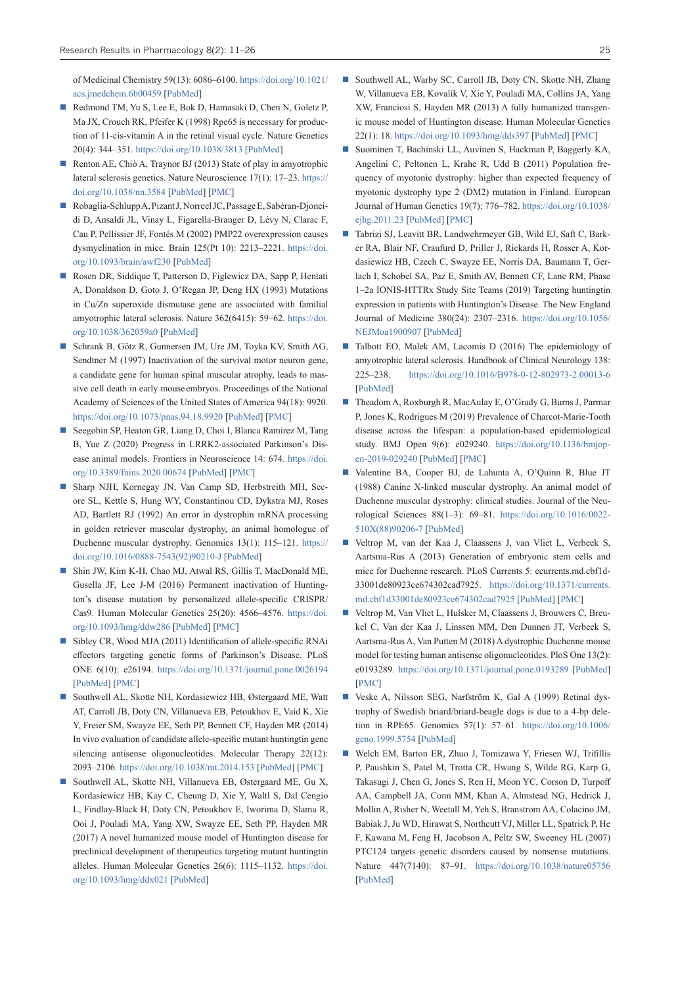of Medicinal Chemistry 59(13): 6086–6100. [https://doi.org/10.1021/](https://doi.org/10.1021/acs.jmedchem.6b00459) [acs.jmedchem.6b00459](https://doi.org/10.1021/acs.jmedchem.6b00459) [[PubMed\]](https://pubmed.ncbi.nlm.nih.gov/27299419/)

- Redmond TM, Yu S, Lee E, Bok D, Hamasaki D, Chen N, Goletz P, Ma JX, Crouch RK, Pfeifer K (1998) Rpe65 is necessary for production of 11-cis-vitamin A in the retinal visual cycle. Nature Genetics 20(4): 344–351. <https://doi.org/10.1038/3813> [[PubMed](https://pubmed.ncbi.nlm.nih.gov/9843205/)]
- Renton AE, Chiò A, Traynor BJ (2013) State of play in amyotrophic lateral sclerosis genetics. Nature Neuroscience 17(1): 17–23. [https://](https://doi.org/10.1038/nn.3584) [doi.org/10.1038/nn.3584](https://doi.org/10.1038/nn.3584) [\[PubMed](https://pubmed.ncbi.nlm.nih.gov/24369373/)] [[PMC\]](https://www.ncbi.nlm.nih.gov/pmc/articles/PMC4544832/)
- Robaglia-Schlupp A, Pizant J, Norreel JC, Passage E, Sabéran-Djoneidi D, Ansaldi JL, Vinay L, Figarella-Branger D, Lévy N, Clarac F, Cau P, Pellissier JF, Fontés M (2002) PMP22 overexpression causes dysmyelination in mice. Brain 125(Pt 10): 2213–2221. [https://doi.](https://doi.org/10.1093/brain/awf230) [org/10.1093/brain/awf230](https://doi.org/10.1093/brain/awf230) [[PubMed\]](https://pubmed.ncbi.nlm.nih.gov/12244079/)
- Rosen DR, Siddique T, Patterson D, Figlewicz DA, Sapp P, Hentati A, Donaldson D, Goto J, O'Regan JP, Deng HX (1993) Mutations in Cu/Zn superoxide dismutase gene are associated with familial amyotrophic lateral sclerosis. Nature 362(6415): 59–62. [https://doi.](https://doi.org/10.1038/362059a0) [org/10.1038/362059a0](https://doi.org/10.1038/362059a0) [[PubMed\]](https://pubmed.ncbi.nlm.nih.gov/8446170/)
- Schrank B, Götz R, Gunnersen JM, Ure JM, Toyka KV, Smith AG, Sendtner M (1997) Inactivation of the survival motor neuron gene, a candidate gene for human spinal muscular atrophy, leads to massive cell death in early mouse embryos. Proceedings of the National Academy of Sciences of the United States of America 94(18): 9920. <https://doi.org/10.1073/pnas.94.18.9920> [\[PubMed](https://pubmed.ncbi.nlm.nih.gov/9275227/)] [[PMC](https://www.ncbi.nlm.nih.gov/pmc/articles/PMC23295/)]
- Seegobin SP, Heaton GR, Liang D, Choi I, Blanca Ramirez M, Tang B, Yue Z (2020) Progress in LRRK2-associated Parkinson's Disease animal models. Frontiers in Neuroscience 14: 674. [https://doi.](https://doi.org/10.3389/fnins.2020.00674) [org/10.3389/fnins.2020.00674](https://doi.org/10.3389/fnins.2020.00674) [[PubMed](https://pubmed.ncbi.nlm.nih.gov/32765209/)] [\[PMC](https://www.ncbi.nlm.nih.gov/pmc/articles/PMC7381130/)]
- Sharp NJH, Kornegay JN, Van Camp SD, Herbstreith MH, Secore SL, Kettle S, Hung WY, Constantinou CD, Dykstra MJ, Roses AD, Bartlett RJ (1992) An error in dystrophin mRNA processing in golden retriever muscular dystrophy, an animal homologue of Duchenne muscular dystrophy. Genomics 13(1): 115–121. [https://](https://doi.org/10.1016/0888-7543(92)90210-J) [doi.org/10.1016/0888-7543\(92\)90210-J](https://doi.org/10.1016/0888-7543(92)90210-J) [[PubMed](https://pubmed.ncbi.nlm.nih.gov/1577476/)]
- Shin JW, Kim K-H, Chao MJ, Atwal RS, Gillis T, MacDonald ME, Gusella JF, Lee J-M (2016) Permanent inactivation of Huntington's disease mutation by personalized allele-specific CRISPR/ Cas9. Human Molecular Genetics 25(20): 4566–4576. [https://doi.](https://doi.org/10.1093/hmg/ddw286) [org/10.1093/hmg/ddw286](https://doi.org/10.1093/hmg/ddw286) [\[PubMed](https://pubmed.ncbi.nlm.nih.gov/28172889/)] [[PMC\]](https://www.ncbi.nlm.nih.gov/pmc/articles/PMC6078600/)
- Sibley CR, Wood MJA (2011) Identification of allele-specific RNAi effectors targeting genetic forms of Parkinson's Disease. PLoS ONE 6(10): e26194. <https://doi.org/10.1371/journal.pone.0026194> [\[PubMed](https://pubmed.ncbi.nlm.nih.gov/22031823/)] [\[PMC](https://www.ncbi.nlm.nih.gov/pmc/articles/PMC3198729/)]
- Southwell AL, Skotte NH, Kordasiewicz HB, Østergaard ME, Watt AT, Carroll JB, Doty CN, Villanueva EB, Petoukhov E, Vaid K, Xie Y, Freier SM, Swayze EE, Seth PP, Bennett CF, Hayden MR (2014) In vivo evaluation of candidate allele-specific mutant huntingtin gene silencing antisense oligonucleotides. Molecular Therapy 22(12): 2093–2106.<https://doi.org/10.1038/mt.2014.153> [\[PubMed](https://pubmed.ncbi.nlm.nih.gov/25101598/)] [\[PMC](https://www.ncbi.nlm.nih.gov/pmc/articles/PMC4429695/)]
- Southwell AL, Skotte NH, Villanueva EB, Østergaard ME, Gu X, Kordasiewicz HB, Kay C, Cheung D, Xie Y, Waltl S, Dal Cengio L, Findlay-Black H, Doty CN, Petoukhov E, Iworima D, Slama R, Ooi J, Pouladi MA, Yang XW, Swayze EE, Seth PP, Hayden MR (2017) A novel humanized mouse model of Huntington disease for preclinical development of therapeutics targeting mutant huntingtin alleles. Human Molecular Genetics 26(6): 1115–1132. [https://doi.](https://doi.org/10.1093/hmg/ddx021) [org/10.1093/hmg/ddx021](https://doi.org/10.1093/hmg/ddx021) [\[PubMed\]](https://pubmed.ncbi.nlm.nih.gov/28104789/)
- Southwell AL, Warby SC, Carroll JB, Doty CN, Skotte NH, Zhang W, Villanueva EB, Kovalik V, Xie Y, Pouladi MA, Collins JA, Yang XW, Franciosi S, Hayden MR (2013) A fully humanized transgenic mouse model of Huntington disease. Human Molecular Genetics 22(1): 18.<https://doi.org/10.1093/hmg/dds397> [[PubMed\]](https://pubmed.ncbi.nlm.nih.gov/23001568/) [\[PMC](https://www.ncbi.nlm.nih.gov/pmc/articles/PMC3606012/)]
- Suominen T, Bachinski LL, Auvinen S, Hackman P, Baggerly KA, Angelini C, Peltonen L, Krahe R, Udd B (2011) Population frequency of myotonic dystrophy: higher than expected frequency of myotonic dystrophy type 2 (DM2) mutation in Finland. European Journal of Human Genetics 19(7): 776–782. [https://doi.org/10.1038/](https://doi.org/10.1038/ejhg.2011.23) [ejhg.2011.23](https://doi.org/10.1038/ejhg.2011.23) [[PubMed\]](https://pubmed.ncbi.nlm.nih.gov/21364698/) [\[PMC](https://www.ncbi.nlm.nih.gov/pmc/articles/PMC3137497/)]
- Tabrizi SJ, Leavitt BR, Landwehrmeyer GB, Wild EJ, Saft C, Barker RA, Blair NF, Craufurd D, Priller J, Rickards H, Rosser A, Kordasiewicz HB, Czech C, Swayze EE, Norris DA, Baumann T, Gerlach I, Schobel SA, Paz E, Smith AV, Bennett CF, Lane RM, Phase 1–2a IONIS-HTTRx Study Site Teams (2019) Targeting huntingtin expression in patients with Huntington's Disease. The New England Journal of Medicine 380(24): 2307–2316. [https://doi.org/10.1056/](https://doi.org/10.1056/NEJMoa1900907) [NEJMoa1900907](https://doi.org/10.1056/NEJMoa1900907) [[PubMed\]](https://pubmed.ncbi.nlm.nih.gov/31059641/)
- Talbott EO, Malek AM, Lacomis D (2016) The epidemiology of amyotrophic lateral sclerosis. Handbook of Clinical Neurology 138: 225–238. <https://doi.org/10.1016/B978-0-12-802973-2.00013-6> [\[PubMed](https://pubmed.ncbi.nlm.nih.gov/27637961/)]
- Theadom A, Roxburgh R, MacAulay E, O'Grady G, Burns J, Parmar P, Jones K, Rodrigues M (2019) Prevalence of Charcot-Marie-Tooth disease across the lifespan: a population-based epidemiological study. BMJ Open 9(6): e029240. [https://doi.org/10.1136/bmjop](https://doi.org/10.1136/bmjopen-2019-029240)[en-2019-029240](https://doi.org/10.1136/bmjopen-2019-029240) [\[PubMed](https://pubmed.ncbi.nlm.nih.gov/31203252/)] [[PMC\]](https://www.ncbi.nlm.nih.gov/pmc/articles/PMC6585838/)
- Valentine BA, Cooper BJ, de Lahunta A, O'Quinn R, Blue JT (1988) Canine X-linked muscular dystrophy. An animal model of Duchenne muscular dystrophy: clinical studies. Journal of the Neurological Sciences 88(1–3): 69–81. [https://doi.org/10.1016/0022-](https://doi.org/10.1016/0022-510X(88)90206-7) [510X\(88\)90206-7](https://doi.org/10.1016/0022-510X(88)90206-7) [\[PubMed](https://pubmed.ncbi.nlm.nih.gov/3225630/)]
- Veltrop M, van der Kaa J, Claassens J, van Vliet L, Verbeek S, Aartsma-Rus A (2013) Generation of embryonic stem cells and mice for Duchenne research. PLoS Currents 5: ecurrents.md.cbf1d-33001de80923ce674302cad7925. [https://doi.org/10.1371/currents.](https://doi.org/10.1371/currents.md.cbf1d33001de80923ce674302cad7925) [md.cbf1d33001de80923ce674302cad7925](https://doi.org/10.1371/currents.md.cbf1d33001de80923ce674302cad7925) [\[PubMed\]](https://pubmed.ncbi.nlm.nih.gov/24057032/) [[PMC\]](https://www.ncbi.nlm.nih.gov/pmc/articles/PMC3775890/)
- Veltrop M, Van Vliet L, Hulsker M, Claassens J, Brouwers C, Breukel C, Van der Kaa J, Linssen MM, Den Dunnen JT, Verbeek S, Aartsma-Rus A, Van Putten M (2018) A dystrophic Duchenne mouse model for testing human antisense oligonucleotides. PloS One 13(2): e0193289. <https://doi.org/10.1371/journal.pone.0193289>[[PubMed\]](https://pubmed.ncbi.nlm.nih.gov/29466448/) [\[PMC](https://www.ncbi.nlm.nih.gov/pmc/articles/PMC5821388/)]
- Veske A, Nilsson SEG, Narfström K, Gal A (1999) Retinal dystrophy of Swedish briard/briard-beagle dogs is due to a 4-bp deletion in RPE65. Genomics 57(1): 57–61. [https://doi.org/10.1006/](https://doi.org/10.1006/geno.1999.5754) [geno.1999.5754](https://doi.org/10.1006/geno.1999.5754) [[PubMed\]](https://pubmed.ncbi.nlm.nih.gov/10191083/)
- Welch EM, Barton ER, Zhuo J, Tomizawa Y, Friesen WJ, Trifillis P, Paushkin S, Patel M, Trotta CR, Hwang S, Wilde RG, Karp G, Takasugi J, Chen G, Jones S, Ren H, Moon YC, Corson D, Turpoff AA, Campbell JA, Conn MM, Khan A, Almstead NG, Hedrick J, Mollin A, Risher N, Weetall M, Yeh S, Branstrom AA, Colacino JM, Babiak J, Ju WD, Hirawat S, Northcutt VJ, Miller LL, Spatrick P, He F, Kawana M, Feng H, Jacobson A, Peltz SW, Sweeney HL (2007) PTC124 targets genetic disorders caused by nonsense mutations. Nature 447(7140): 87–91. <https://doi.org/10.1038/nature05756> [\[PubMed](https://pubmed.ncbi.nlm.nih.gov/17450125/)]